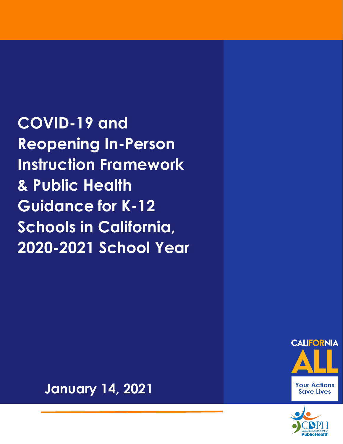**COVID-19 and Reopening In-Person Instruction Framework & Public Health Guidance for K-12 Schools in California, 2020-2021 School Year**





**January 14, 2021**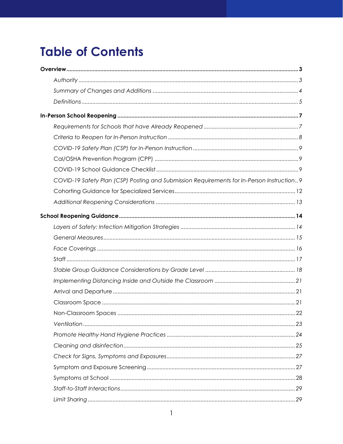# **Table of Contents**

| COVID-19 Safety Plan (CSP) Posting and Submission Requirements for In-Person Instruction9 |
|-------------------------------------------------------------------------------------------|
|                                                                                           |
|                                                                                           |
|                                                                                           |
|                                                                                           |
|                                                                                           |
|                                                                                           |
|                                                                                           |
|                                                                                           |
|                                                                                           |
|                                                                                           |
|                                                                                           |
| .22                                                                                       |
|                                                                                           |
|                                                                                           |
|                                                                                           |
|                                                                                           |
|                                                                                           |
|                                                                                           |
|                                                                                           |
|                                                                                           |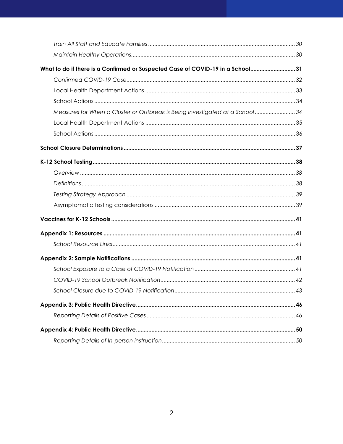| What to do if there is a Confirmed or Suspected Case of COVID-19 in a School31 |  |
|--------------------------------------------------------------------------------|--|
|                                                                                |  |
|                                                                                |  |
|                                                                                |  |
| Measures for When a Cluster or Outbreak is Being Investigated at a School 34   |  |
|                                                                                |  |
|                                                                                |  |
|                                                                                |  |
|                                                                                |  |
|                                                                                |  |
|                                                                                |  |
|                                                                                |  |
|                                                                                |  |
|                                                                                |  |
|                                                                                |  |
|                                                                                |  |
|                                                                                |  |
|                                                                                |  |
|                                                                                |  |
|                                                                                |  |
|                                                                                |  |
|                                                                                |  |
|                                                                                |  |
|                                                                                |  |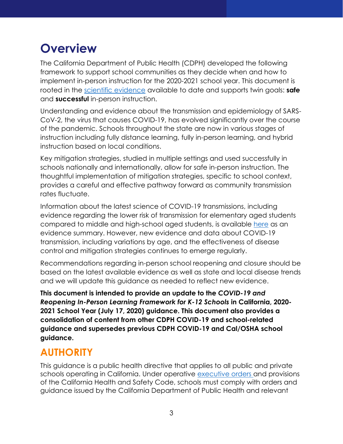# <span id="page-3-0"></span>**Overview**

The California Department of Public Health (CDPH) developed the following framework to support school communities as they decide when and how to implement in-person instruction for the 2020-2021 school year. This document is rooted in the [scientific evidence](https://www.cdph.ca.gov/Programs/CID/DCDC/Pages/COVID-19/Safe-Schools-for-All-Plan-Science.aspx) available to date and supports twin goals: **safe** and **successful** in-person instruction.

Understanding and evidence about the transmission and epidemiology of SARS-CoV-2, the virus that causes COVID-19, has evolved significantly over the course of the pandemic. Schools throughout the state are now in various stages of instruction including fully distance learning, fully in-person learning, and hybrid instruction based on local conditions.

Key mitigation strategies, studied in multiple settings and used successfully in schools nationally and internationally, allow for safe in-person instruction. The thoughtful implementation of mitigation strategies, specific to school context, provides a careful and effective pathway forward as community transmission rates fluctuate.

Information about the latest science of COVID-19 transmissions, including evidence regarding the lower risk of transmission for elementary aged students compared to middle and high-school aged students, is available [here](https://www.cdph.ca.gov/Programs/CID/DCDC/Pages/COVID-19/Safe-Schools-for-All-Plan-Science.aspx) as an evidence summary. However, new evidence and data about COVID-19 transmission, including variations by age, and the effectiveness of disease control and mitigation strategies continues to emerge regularly.

Recommendations regarding in-person school reopening and closure should be based on the latest available evidence as well as state and local disease trends and we will update this guidance as needed to reflect new evidence.

**This document is intended to provide an update to the** *COVID-19 and Reopening In-Person Learning Framework for K-12 Schools* **in California, 2020- 2021 School Year (July 17, 2020) guidance. This document also provides a consolidation of content from other CDPH COVID-19 and school-related guidance and supersedes previous CDPH COVID-19 and Cal/OSHA school guidance.**

#### <span id="page-3-1"></span>**AUTHORITY**

This guidance is a public health directive that applies to all public and private schools operating in California. Under operative [executive orders](https://www.gov.ca.gov/2020/03/19/governor-gavin-newsom-issues-stay-at-home-order/) and provisions of the California Health and Safety Code, schools must comply with orders and guidance issued by the California Department of Public Health and relevant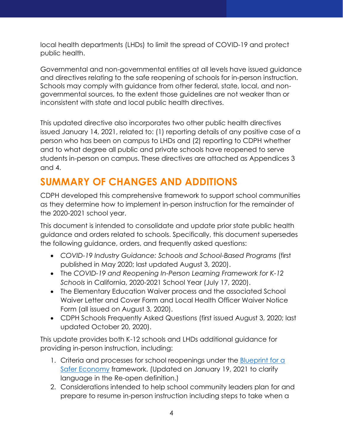local health departments (LHDs) to limit the spread of COVID-19 and protect public health.

Governmental and non-governmental entities at all levels have issued guidance and directives relating to the safe reopening of schools for in-person instruction. Schools may comply with guidance from other federal, state, local, and nongovernmental sources, to the extent those guidelines are not weaker than or inconsistent with state and local public health directives.

This updated directive also incorporates two other public health directives issued January 14, 2021, related to: (1) reporting details of any positive case of a person who has been on campus to LHDs and (2) reporting to CDPH whether and to what degree all public and private schools have reopened to serve students in-person on campus. These directives are attached as Appendices 3 and 4.

## <span id="page-4-0"></span>**SUMMARY OF CHANGES AND ADDITIONS**

CDPH developed this comprehensive framework to support school communities as they determine how to implement in-person instruction for the remainder of the 2020-2021 school year.

This document is intended to consolidate and update prior state public health guidance and orders related to schools. Specifically, this document supersedes the following guidance, orders, and frequently asked questions:

- COVID-19 Industry Guidance: Schools and School-Based Programs (first published in May 2020; last updated August 3, 2020).
- The *COVID-19 and Reopening In-Person Learning Framework for K-12 Schools* in California, 2020-2021 School Year (July 17, 2020).
- The Elementary Education Waiver process and the associated School Waiver Letter and Cover Form and Local Health Officer Waiver Notice Form (all issued on August 3, 2020).
- CDPH Schools Frequently Asked Questions (first issued August 3, 2020; last updated October 20, 2020).

This update provides both K-12 schools and LHDs additional guidance for providing in-person instruction, including:

- 1. Criteria and processes for school reopenings under the **Blueprint** for a [Safer Economy](https://www.cdph.ca.gov/Programs/CID/DCDC/Pages/COVID-19/COVID19CountyMonitoringOverview.aspx) framework. (Updated on January 19, 2021 to clarify language in the Re-open definition.)
- 2. Considerations intended to help school community leaders plan for and prepare to resume in-person instruction including steps to take when a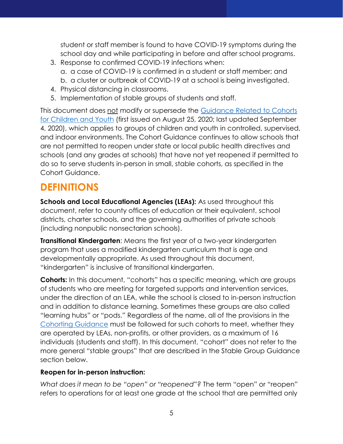student or staff member is found to have COVID-19 symptoms during the school day and while participating in before and after school programs.

- 3. Response to confirmed COVID-19 infections when: a. a case of COVID-19 is confirmed in a student or staff member; and b. a cluster or outbreak of COVID-19 at a school is being investigated.
- 4. Physical distancing in classrooms.
- 5. Implementation of stable groups of students and staff.

This document does not modify or supersede the [Guidance Related to Cohorts](https://www.cdph.ca.gov/Programs/CID/DCDC/Pages/COVID-19/small-groups-child-youth.aspx)  [for Children and Youth](https://www.cdph.ca.gov/Programs/CID/DCDC/Pages/COVID-19/small-groups-child-youth.aspx) (first issued on August 25, 2020; last updated September 4, 2020), which applies to groups of children and youth in controlled, supervised, and indoor environments. The Cohort Guidance continues to allow schools that are not permitted to reopen under state or local public health directives and schools (and any grades at schools) that have not yet reopened if permitted to do so to serve students in-person in small, stable cohorts, as specified in the Cohort Guidance.

#### <span id="page-5-0"></span>**DEFINITIONS**

**Schools and Local Educational Agencies (LEAs):** As used throughout this document, refer to county offices of education or their equivalent, school districts, charter schools, and the governing authorities of private schools (including nonpublic nonsectarian schools).

**Transitional Kindergarten**: Means the first year of a two-year kindergarten program that uses a modified kindergarten curriculum that is age and developmentally appropriate. As used throughout this document, "kindergarten" is inclusive of transitional kindergarten.

**Cohorts:** In this document, "cohorts" has a specific meaning, which are groups of students who are meeting for targeted supports and intervention services, under the direction of an LEA, while the school is closed to in-person instruction and in addition to distance learning. Sometimes these groups are also called "learning hubs" or "pods." Regardless of the name, all of the provisions in the [Cohorting Guidance](https://www.cdph.ca.gov/Programs/CID/DCDC/Pages/COVID-19/small-groups-child-youth.aspx) must be followed for such cohorts to meet, whether they are operated by LEAs, non-profits, or other providers, as a maximum of 16 individuals (students and staff). In this document, "cohort" does not refer to the more general "stable groups" that are described in the Stable Group Guidance section below.

#### **Reopen for in-person instruction:**

*What does it mean to be "open" or "reopened"?* The term "open" or "reopen" refers to operations for at least one grade at the school that are permitted only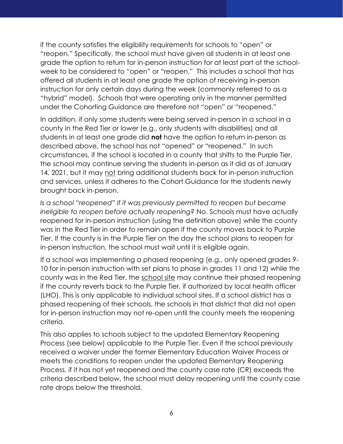if the county satisfies the eligibility requirements for schools to "open" or "reopen." Specifically, the school must have given all students in at least one grade the option to return for in-person instruction for at least part of the schoolweek to be considered to "open" or "reopen." This includes a school that has offered all students in at least one grade the option of receiving in-person instruction for only certain days during the week (commonly referred to as a "hybrid" model). Schools that were operating only in the manner permitted under the Cohorting Guidance are therefore not "open" or "reopened."

In addition, if only some students were being served in-person in a school in a county in the Red Tier or lower (e.g., only students with disabilities) and all students in at least one grade did **not** have the option to return in-person as described above, the school has not "opened" or "reopened." In such circumstances, if the school is located in a county that shifts to the Purple Tier, the school may continue serving the students in-person as it did as of January 14, 2021, but it may not bring additional students back for in-person instruction and services, unless it adheres to the Cohort Guidance for the students newly brought back in-person.

*Is a school "reopened" if it was previously permitted to reopen but became ineligible to reopen before actually reopening?* No. Schools must have actually reopened for in-person instruction (using the definition above) while the county was in the Red Tier in order to remain open if the county moves back to Purple Tier. If the county is in the Purple Tier on the day the school plans to reopen for in-person instruction, the school must wait until it is eligible again.

If a school was implementing a phased reopening (e.g., only opened grades 9- 10 for in-person instruction with set plans to phase in grades 11 and 12) while the county was in the Red Tier, the school site may continue their phased reopening if the county reverts back to the Purple Tier, if authorized by local health officer (LHO). This is only applicable to individual school sites. If a school district has a phased reopening of their schools, the schools in that district that did not open for in-person instruction may not re-open until the county meets the reopening criteria.

This also applies to schools subject to the updated Elementary Reopening Process (see below) applicable to the Purple Tier. Even if the school previously received a waiver under the former Elementary Education Waiver Process or meets the conditions to reopen under the updated Elementary Reopening Process, if it has not yet reopened and the county case rate (CR) exceeds the criteria described below, the school must delay reopening until the county case rate drops below the threshold.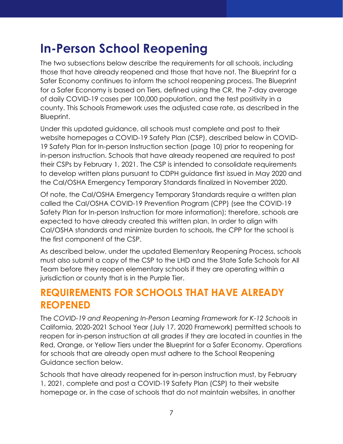## <span id="page-7-0"></span>**In-Person School Reopening**

The two subsections below describe the requirements for all schools, including those that have already reopened and those that have not. The Blueprint for a Safer Economy continues to inform the school reopening process. The Blueprint for a Safer Economy is based on Tiers, defined using the CR, the 7-day average of daily COVID-19 cases per 100,000 population, and the test positivity in a county. This Schools Framework uses the adjusted case rate, as described in the Blueprint.

Under this updated guidance, all schools must complete and post to their website homepages a COVID-19 Safety Plan (CSP), described below in COVID-19 Safety Plan for In-person Instruction section (page 10) prior to reopening for in-person instruction. Schools that have already reopened are required to post their CSPs by February 1, 2021. The CSP is intended to consolidate requirements to develop written plans pursuant to CDPH guidance first issued in May 2020 and the Cal/OSHA Emergency Temporary Standards finalized in November 2020.

Of note, the Cal/OSHA Emergency Temporary Standards require a written plan called the Cal/OSHA COVID-19 Prevention Program (CPP) (see the COVID-19 Safety Plan for In-person Instruction for more information); therefore, schools are expected to have already created this written plan. In order to align with Cal/OSHA standards and minimize burden to schools, the CPP for the school is the first component of the CSP.

As described below, under the updated Elementary Reopening Process, schools must also submit a copy of the CSP to the LHD and the State Safe Schools for All Team before they reopen elementary schools if they are operating within a jurisdiction or county that is in the Purple Tier.

#### <span id="page-7-1"></span>**REQUIREMENTS FOR SCHOOLS THAT HAVE ALREADY REOPENED**

The *COVID-19 and Reopening In-Person Learning Framework for K-12 Schools* in California, 2020-2021 School Year (July 17, 2020 Framework) permitted schools to reopen for in-person instruction at all grades if they are located in counties in the Red, Orange, or Yellow Tiers under the Blueprint for a Safer Economy. Operations for schools that are already open must adhere to the School Reopening Guidance section below.

Schools that have already reopened for in-person instruction must, by February 1, 2021, complete and post a COVID-19 Safety Plan (CSP) to their website homepage or, in the case of schools that do not maintain websites, in another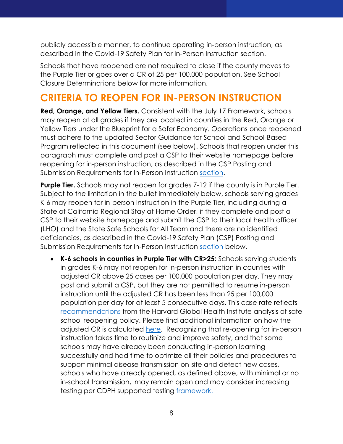publicly accessible manner, to continue operating in-person instruction, as described in the Covid-19 Safety Plan for In-Person Instruction section.

Schools that have reopened are not required to close if the county moves to the Purple Tier or goes over a CR of 25 per 100,000 population. See School Closure Determinations below for more information.

#### <span id="page-8-0"></span>**CRITERIA TO REOPEN FOR IN-PERSON INSTRUCTION**

**Red, Orange, and Yellow Tiers.** Consistent with the July 17 Framework, schools may reopen at all grades if they are located in counties in the Red, Orange or Yellow Tiers under the Blueprint for a Safer Economy. Operations once reopened must adhere to the updated Sector Guidance for School and School-Based Program reflected in this document (see below). Schools that reopen under this paragraph must complete and post a CSP to their website homepage before reopening for in-person instruction, as described in the CSP Posting and Submission Requirements for In-Person Instruction [section.](#page-9-0)

**Purple Tier.** Schools may not reopen for grades 7-12 if the county is in Purple Tier. Subject to the limitation in the bullet immediately below, schools serving grades K-6 may reopen for in-person instruction in the Purple Tier, including during a State of California Regional Stay at Home Order, if they complete and post a CSP to their website homepage and submit the CSP to their local health officer (LHO) and the State Safe Schools for All Team and there are no identified deficiencies, as described in the Covid-19 Safety Plan (CSP) Posting and Submission Requirements for In-Person Instruction [section](#page-9-0) below.

• **K-6 schools in counties in Purple Tier with CR>25:** Schools serving students in grades K-6 may not reopen for in-person instruction in counties with adjusted CR above 25 cases per 100,000 population per day. They may post and submit a CSP, but they are not permitted to resume in-person instruction until the adjusted CR has been less than 25 per 100,000 population per day for at least 5 consecutive days. This case rate reflects [recommendations](https://globalepidemics.org/wp-content/uploads/2020/07/pandemic_resilient_schools_briefing_72020.pdf) from the Harvard Global Health Institute analysis of safe school reopening policy. Please find additional information on how the adjusted CR is calculated [here.](https://www.cdph.ca.gov/Programs/CID/DCDC/Pages/COVID-19/COVID19CountyMonitoringOverview.aspx) Recognizing that re-opening for in-person instruction takes time to routinize and improve safety, and that some schools may have already been conducting in-person learning successfully and had time to optimize all their policies and procedures to support minimal disease transmission on-site and detect new cases, schools who have already opened, as defined above, with minimal or no in-school transmission, may remain open and may consider increasing testing per CDPH supported testing framework.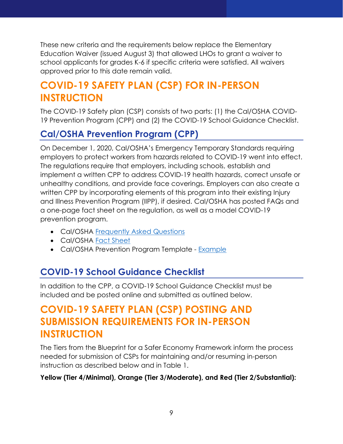These new criteria and the requirements below replace the Elementary Education Waiver (issued August 3) that allowed LHOs to grant a waiver to school applicants for grades K-6 if specific criteria were satisfied. All waivers approved prior to this date remain valid.

## <span id="page-9-0"></span>**COVID-19 SAFETY PLAN (CSP) FOR IN-PERSON INSTRUCTION**

The COVID-19 Safety plan (CSP) consists of two parts: (1) the Cal/OSHA COVID-19 Prevention Program (CPP) and (2) the COVID-19 School Guidance Checklist.

#### <span id="page-9-1"></span>**Cal/OSHA Prevention Program (CPP)**

On December 1, 2020, Cal/OSHA's Emergency Temporary Standards requiring employers to protect workers from hazards related to COVID-19 went into effect. The regulations require that employers, including schools, establish and implement a written CPP to address COVID-19 health hazards, correct unsafe or unhealthy conditions, and provide face coverings. Employers can also create a written CPP by incorporating elements of this program into their existing Injury and Illness Prevention Program (IIPP), if desired. Cal/OSHA has posted FAQs and a one-page fact sheet on the regulation, as well as a model COVID-19 prevention program.

- Cal/OSHA [Frequently Asked Questions](https://www.dir.ca.gov/dosh/coronavirus/COVID19FAQs.html)
- Cal/OSHA [Fact Sheet](https://www.dir.ca.gov/dosh/dosh_publications/COVIDOnePageFS.pdf)
- Cal/OSHA Prevention Program Template [Example](https://www.dir.ca.gov/dosh/dosh_publications/CPP.doc)

#### <span id="page-9-2"></span>**COVID-19 School Guidance Checklist**

In addition to the CPP, a COVID-19 School Guidance Checklist must be included and be posted online and submitted as outlined below.

#### <span id="page-9-3"></span>**COVID-19 SAFETY PLAN (CSP) POSTING AND SUBMISSION REQUIREMENTS FOR IN-PERSON INSTRUCTION**

The Tiers from the Blueprint for a Safer Economy Framework inform the process needed for submission of CSPs for maintaining and/or resuming in-person instruction as described below and in Table 1.

#### **Yellow (Tier 4/Minimal), Orange (Tier 3/Moderate), and Red (Tier 2/Substantial):**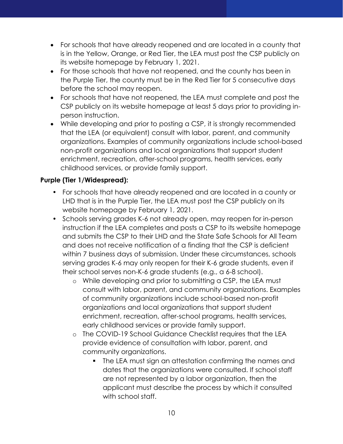- For schools that have already reopened and are located in a county that is in the Yellow, Orange, or Red Tier, the LEA must post the CSP publicly on its website homepage by February 1, 2021.
- For those schools that have not reopened, and the county has been in the Purple Tier, the county must be in the Red Tier for 5 consecutive days before the school may reopen.
- For schools that have not reopened, the LEA must complete and post the CSP publicly on its website homepage at least 5 days prior to providing inperson instruction.
- While developing and prior to posting a CSP, it is strongly recommended that the LEA (or equivalent) consult with labor, parent, and community organizations. Examples of community organizations include school-based non-profit organizations and local organizations that support student enrichment, recreation, after-school programs, health services, early childhood services, or provide family support.

#### **Purple (Tier 1/Widespread):**

- For schools that have already reopened and are located in a county or LHD that is in the Purple Tier, the LEA must post the CSP publicly on its website homepage by February 1, 2021.
- Schools serving grades K-6 not already open, may reopen for in-person instruction if the LEA completes and posts a CSP to its website homepage and submits the CSP to their LHD and the State Safe Schools for All Team and does not receive notification of a finding that the CSP is deficient within 7 business days of submission. Under these circumstances, schools serving grades K-6 may only reopen for their K-6 grade students, even if their school serves non-K-6 grade students (e.g., a 6-8 school).
	- o While developing and prior to submitting a CSP, the LEA must consult with labor, parent, and community organizations. Examples of community organizations include school-based non-profit organizations and local organizations that support student enrichment, recreation, after-school programs, health services, early childhood services or provide family support.
	- o The COVID-19 School Guidance Checklist requires that the LEA provide evidence of consultation with labor, parent, and community organizations.
		- The LEA must sign an attestation confirming the names and dates that the organizations were consulted. If school staff are not represented by a labor organization, then the applicant must describe the process by which it consulted with school staff.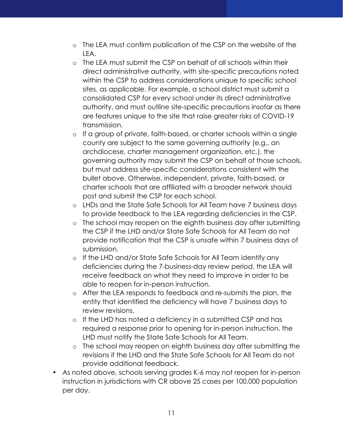- o The LEA must confirm publication of the CSP on the website of the LEA.
- o The LEA must submit the CSP on behalf of all schools within their direct administrative authority, with site-specific precautions noted within the CSP to address considerations unique to specific school sites, as applicable. For example, a school district must submit a consolidated CSP for every school under its direct administrative authority, and must outline site-specific precautions insofar as there are features unique to the site that raise greater risks of COVID-19 transmission.
- o If a group of private, faith-based, or charter schools within a single county are subject to the same governing authority (e.g., an archdiocese, charter management organization, etc.), the governing authority may submit the CSP on behalf of those schools, but must address site-specific considerations consistent with the bullet above. Otherwise, independent, private, faith-based, or charter schools that are affiliated with a broader network should post and submit the CSP for each school.
- o LHDs and the State Safe Schools for All Team have 7 business days to provide feedback to the LEA regarding deficiencies in the CSP.
- o The school may reopen on the eighth business day after submitting the CSP if the LHD and/or State Safe Schools for All Team do not provide notification that the CSP is unsafe within 7 business days of submission.
- o If the LHD and/or State Safe Schools for All Team identify any deficiencies during the 7-business-day review period, the LEA will receive feedback on what they need to improve in order to be able to reopen for in-person instruction.
- o After the LEA responds to feedback and re-submits the plan, the entity that identified the deficiency will have 7 business days to review revisions.
- o If the LHD has noted a deficiency in a submitted CSP and has required a response prior to opening for in-person instruction, the LHD must notify the State Safe Schools for All Team.
- o The school may reopen on eighth business day after submitting the revisions if the LHD and the State Safe Schools for All Team do not provide additional feedback.
- As noted above, schools serving grades K-6 may not reopen for in-person instruction in jurisdictions with CR above 25 cases per 100,000 population per day.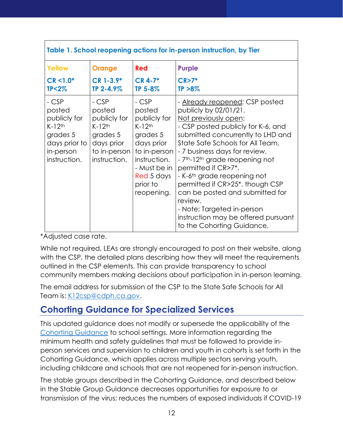| Table 1. School reopening actions for in-person instruction, by Tier                                              |                                                                                                                   |                                                                                                                                                                           |                                                                                                                                                                                                                                                                                                                                                                                                                                                                                                                                                              |  |
|-------------------------------------------------------------------------------------------------------------------|-------------------------------------------------------------------------------------------------------------------|---------------------------------------------------------------------------------------------------------------------------------------------------------------------------|--------------------------------------------------------------------------------------------------------------------------------------------------------------------------------------------------------------------------------------------------------------------------------------------------------------------------------------------------------------------------------------------------------------------------------------------------------------------------------------------------------------------------------------------------------------|--|
| <b>Yellow</b>                                                                                                     | <b>Orange</b>                                                                                                     | Red                                                                                                                                                                       | <b>Purple</b>                                                                                                                                                                                                                                                                                                                                                                                                                                                                                                                                                |  |
| $CR < 1.0*$<br>$TP < 2\%$                                                                                         | $CR$ 1-3.9 $*$<br>TP 2-4.9%                                                                                       | $CR$ 4-7*<br>TP 5-8%                                                                                                                                                      | $CR > 7*$<br>$TP > 8\%$                                                                                                                                                                                                                                                                                                                                                                                                                                                                                                                                      |  |
| - CSP<br>posted<br>publicly for<br>$K-12$ <sup>th</sup><br>grades 5<br>days prior to<br>in-person<br>instruction. | - CSP<br>posted<br>publicly for<br>$K-12$ <sup>th</sup><br>grades 5<br>days prior<br>to in-person<br>instruction. | - CSP<br>posted<br>publicly for<br>$K-12$ <sup>th</sup><br>grades 5<br>days prior<br>to in-person<br>instruction.<br>- Must be in<br>Red 5 days<br>prior to<br>reopening. | - Already reopened: CSP posted<br>publicly by 02/01/21.<br>Not previously open:<br>- CSP posted publicly for K-6, and<br>submitted concurrently to LHD and<br>State Safe Schools for All Team.<br>- 7 business days for review.<br>-7 <sup>th</sup> -12 <sup>th</sup> grade reopening not<br>permitted if CR>7*.<br>- K-6 <sup>th</sup> grade reopening not<br>permitted if CR>25 <sup>*</sup> , though CSP<br>can be posted and submitted for<br>review.<br>- Note: Targeted in-person<br>instruction may be offered pursuant<br>to the Cohorting Guidance. |  |

\*Adjusted case rate.

 $\Gamma$ 

While not required, LEAs are strongly encouraged to post on their website, along with the CSP, the detailed plans describing how they will meet the requirements outlined in the CSP elements. This can provide transparency to school community members making decisions about participation in in-person learning.

The email address for submission of the CSP to the State Safe Schools for All Team is: [K12csp@cdph.ca.gov.](mailto:K12csp@cdph.ca.gov)

#### <span id="page-12-0"></span>**Cohorting Guidance for Specialized Services**

This updated guidance does not modify or supersede the applicability of the Cohorting [Guidance](https://www.cdph.ca.gov/Programs/CID/DCDC/Pages/COVID-19/small-groups-child-youth.aspx) to school settings. More information regarding the minimum health and safety guidelines that must be followed to provide inperson services and supervision to children and youth in cohorts is set forth in the Cohorting Guidance, which applies across multiple sectors serving youth, including childcare and schools that are not reopened for in-person instruction.

The stable groups described in the Cohorting Guidance, and described below in the Stable Group Guidance decreases opportunities for exposure to or transmission of the virus; reduces the numbers of exposed individuals if COVID-19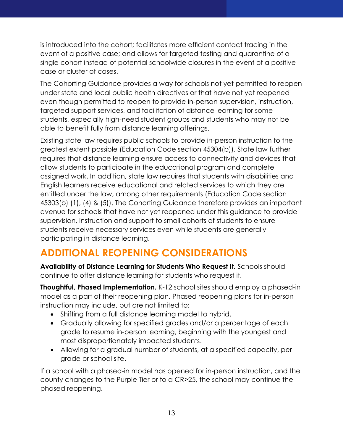is introduced into the cohort; facilitates more efficient contact tracing in the event of a positive case; and allows for targeted testing and quarantine of a single cohort instead of potential schoolwide closures in the event of a positive case or cluster of cases.

The Cohorting Guidance provides a way for schools not yet permitted to reopen under state and local public health directives or that have not yet reopened even though permitted to reopen to provide in-person supervision, instruction, targeted support services, and facilitation of distance learning for some students, especially high-need student groups and students who may not be able to benefit fully from distance learning offerings.

Existing state law requires public schools to provide in-person instruction to the greatest extent possible (Education Code section 45304(b)). State law further requires that distance learning ensure access to connectivity and devices that allow students to participate in the educational program and complete assigned work. In addition, state law requires that students with disabilities and English learners receive educational and related services to which they are entitled under the law, among other requirements (Education Code section 45303(b) (1), (4) & (5)). The Cohorting Guidance therefore provides an important avenue for schools that have not yet reopened under this guidance to provide supervision, instruction and support to small cohorts of students to ensure students receive necessary services even while students are generally participating in distance learning.

## <span id="page-13-0"></span>**ADDITIONAL REOPENING CONSIDERATIONS**

**Availability of Distance Learning for Students Who Request It.** Schools should continue to offer distance learning for students who request it.

**Thoughtful, Phased Implementation.** K-12 school sites should employ a phased-in model as a part of their reopening plan. Phased reopening plans for in-person instruction may include, but are not limited to:

- Shifting from a full distance learning model to hybrid.
- Gradually allowing for specified grades and/or a percentage of each grade to resume in-person learning, beginning with the youngest and most disproportionately impacted students.
- Allowing for a gradual number of students, at a specified capacity, per grade or school site.

If a school with a phased-in model has opened for in-person instruction, and the county changes to the Purple Tier or to a CR>25, the school may continue the phased reopening.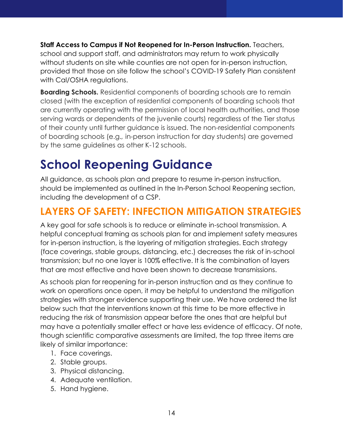**Staff Access to Campus if Not Reopened for In-Person Instruction.** Teachers, school and support staff, and administrators may return to work physically without students on site while counties are not open for in-person instruction, provided that those on site follow the school's COVID-19 Safety Plan consistent with Cal/OSHA regulations.

**Boarding Schools.** Residential components of boarding schools are to remain closed (with the exception of residential components of boarding schools that are currently operating with the permission of local health authorities, and those serving wards or dependents of the juvenile courts) regardless of the Tier status of their county until further guidance is issued. The non-residential components of boarding schools (e.g.*,* in-person instruction for day students) are governed by the same guidelines as other K-12 schools.

# <span id="page-14-0"></span>**School Reopening Guidance**

All guidance, as schools plan and prepare to resume in-person instruction, should be implemented as outlined in the In-Person School Reopening section, including the development of a CSP.

#### <span id="page-14-1"></span>**LAYERS OF SAFETY: INFECTION MITIGATION STRATEGIES**

A key goal for safe schools is to reduce or eliminate in-school transmission. A helpful conceptual framing as schools plan for and implement safety measures for in-person instruction, is the layering of mitigation strategies. Each strategy (face coverings, stable groups, distancing, etc.) decreases the risk of in-school transmission; but no one layer is 100% effective. It is the combination of layers that are most effective and have been shown to decrease transmissions.

As schools plan for reopening for in-person instruction and as they continue to work on operations once open, it may be helpful to understand the mitigation strategies with stronger evidence supporting their use. We have ordered the list below such that the interventions known at this time to be more effective in reducing the risk of transmission appear before the ones that are helpful but may have a potentially smaller effect or have less evidence of efficacy. Of note, though scientific comparative assessments are limited, the top three items are likely of similar importance:

- 1. Face coverings.
- 2. Stable groups.
- 3. Physical distancing.
- 4. Adequate ventilation.
- 5. Hand hygiene.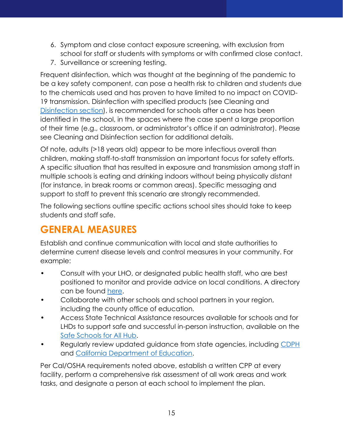- 6. Symptom and close contact exposure screening, with exclusion from school for staff or students with symptoms or with confirmed close contact.
- 7. Surveillance or screening testing.

Frequent disinfection, which was thought at the beginning of the pandemic to be a key safety component, can pose a health risk to children and students due to the chemicals used and has proven to have limited to no impact on COVID-19 transmission. Disinfection with specified products (see Cleaning and [Disinfection](#page-3-0) section), is recommended for schools after a case has been identified in the school, in the spaces where the case spent a large proportion of their time (e.g., classroom, or administrator's office if an administrator). Please see Cleaning and Disinfection section for additional details.

Of note, adults (>18 years old) appear to be more infectious overall than children, making staff-to-staff transmission an important focus for safety efforts. A specific situation that has resulted in exposure and transmission among staff in multiple schools is eating and drinking indoors without being physically distant (for instance, in break rooms or common areas). Specific messaging and support to staff to prevent this scenario are strongly recommended.

The following sections outline specific actions school sites should take to keep students and staff safe.

## <span id="page-15-0"></span>**GENERAL MEASURES**

Establish and continue communication with local and state authorities to determine current disease levels and control measures in your community. For example:

- Consult with your LHO, or designated public health staff, who are best positioned to monitor and provide advice on local conditions. A directory can be found [here.](https://www.cdph.ca.gov/Programs/CCLHO/Pages/CCLHO-Health-Officer-Directory.aspx)
- Collaborate with other schools and school partners in your region, including the county office of education.
- Access State Technical Assistance resources available for schools and for LHDs to support safe and successful in-person instruction, available on the [Safe Schools](https://schools.covid19.ca.gov/) for All Hub.
- Regularly review updated guidance from state agencies, including [CDPH](https://www.cdph.ca.gov/Programs/CID/DCDC/Pages/Guidance.aspx) and [California Department of Education.](https://www.cde.ca.gov/ls/he/hn/coronavirus.asp)

Per Cal/OSHA requirements noted above, establish a written CPP at every facility, perform a comprehensive risk assessment of all work areas and work tasks, and designate a person at each school to implement the plan.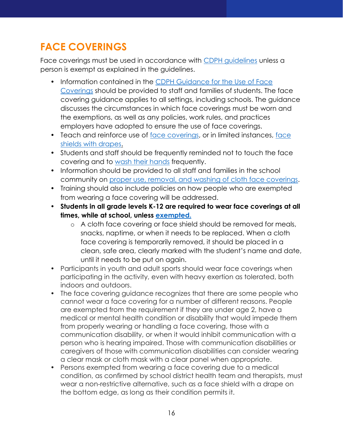## <span id="page-16-0"></span>**FACE COVERINGS**

Face coverings must be used in accordance with [CDPH guidelines](https://www.cdph.ca.gov/Programs/CID/DCDC/Pages/COVID-19/guidance-for-face-coverings.aspx) unless a person is exempt as explained in the guidelines.

- Information contained in the [CDPH Guidance for the Use of Face](https://www.cdph.ca.gov/Programs/CID/DCDC/Pages/COVID-19/guidance-for-face-coverings.aspx)  [Coverings](https://www.cdph.ca.gov/Programs/CID/DCDC/Pages/COVID-19/guidance-for-face-coverings.aspx) should be provided to staff and families of students. The face covering guidance applies to all settings, including schools. The guidance discusses the circumstances in which face coverings must be worn and the exemptions, as well as any policies, work rules, and practices employers have adopted to ensure the use of face coverings.
- Teach and reinforce use of [face coverings,](https://www.cdc.gov/coronavirus/2019-ncov/prevent-getting-sick/diy-cloth-face-coverings.html) or in limited instances, face shields [with drapes.](https://www.cdph.ca.gov/Programs/CID/DCDC/CDPH%20Document%20Library/COVID-19/faceshield_handout.pdf)
- Students and staff should be frequently reminded not to touch the face covering and to [wash their hands](https://www.cdc.gov/handwashing/index.html) frequently.
- Information should be provided to all staff and families in the school community on [proper use, removal, and washing of cloth face coverings.](https://www.cdc.gov/coronavirus/2019-ncov/prevent-getting-sick/diy-cloth-face-coverings.html)
- Training should also include policies on how people who are exempted from wearing a face covering will be addressed.
- **Students in all grade levels K-12 are required to wear face coverings at all times, while at school, unless [exempted.](https://www.cdph.ca.gov/Programs/CID/DCDC/Pages/COVID-19/guidance-for-face-coverings.aspx)**
	- o A cloth face covering or face shield should be removed for meals, snacks, naptime, or when it needs to be replaced. When a cloth face covering is temporarily removed, it should be placed in a clean, safe area, clearly marked with the student's name and date, until it needs to be put on again.
- Participants in youth and adult sports should wear face coverings when participating in the activity, even with heavy exertion as tolerated, both indoors and outdoors.
- The face covering guidance recognizes that there are some people who cannot wear a face covering for a number of different reasons. People are exempted from the requirement if they are under age 2, have a medical or mental health condition or disability that would impede them from properly wearing or handling a face covering, those with a communication disability, or when it would inhibit communication with a person who is hearing impaired. Those with communication disabilities or caregivers of those with communication disabilities can consider wearing a clear mask or cloth mask with a clear panel when appropriate.
- Persons exempted from wearing a face covering due to a medical condition, as confirmed by school district health team and therapists, must wear a non-restrictive alternative, such as a face shield with a drape on the bottom edge, as long as their condition permits it.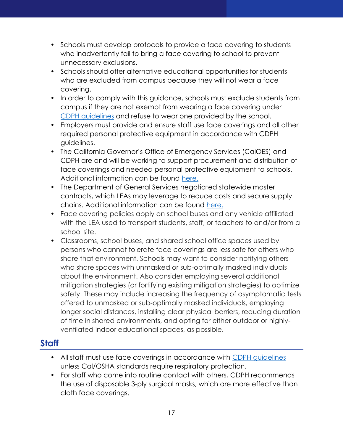- Schools must develop protocols to provide a face covering to students who inadvertently fail to bring a face covering to school to prevent unnecessary exclusions.
- Schools should offer alternative educational opportunities for students who are excluded from campus because they will not wear a face covering.
- In order to comply with this guidance, schools must exclude students from campus if they are not exempt from wearing a face covering under [CDPH guidelines](https://www.cdph.ca.gov/Programs/CID/DCDC/CDPH%20Document%20Library/COVID-19/Guidance-for-Face-Coverings_06-18-2020.pdf) and refuse to wear one provided by the school.
- Employers must provide and ensure staff use face coverings and all other required personal protective equipment in accordance with CDPH guidelines.
- The California Governor's Office of Emergency Services (CalOES) and CDPH are and will be working to support procurement and distribution of face coverings and needed personal protective equipment to schools. Additional information can be found [here.](https://covid19.ca.gov/masks-and-ppe/)
- The Department of General Services negotiated statewide master contracts, which LEAs may leverage to reduce costs and secure supply chains. Additional information can be found [here.](https://www.dgs.ca.gov/PD/Services/Page-Content/Procurement-Division-Services-List-Folder/Find-Masks-Respirator-and-Surgical-on-Statewide-Contracts)
- Face covering policies apply on school buses and any vehicle affiliated with the LEA used to transport students, staff, or teachers to and/or from a school site.
- Classrooms, school buses, and shared school office spaces used by persons who cannot tolerate face coverings are less safe for others who share that environment. Schools may want to consider notifying others who share spaces with unmasked or sub-optimally masked individuals about the environment. Also consider employing several additional mitigation strategies (or fortifying existing mitigation strategies) to optimize safety. These may include increasing the frequency of asymptomatic tests offered to unmasked or sub-optimally masked individuals, employing longer social distances, installing clear physical barriers, reducing duration of time in shared environments, and opting for either outdoor or highlyventilated indoor educational spaces, as possible.

#### <span id="page-17-0"></span>**Staff**

- All staff must use face coverings in accordance with [CDPH guidelines](https://www.cdph.ca.gov/Programs/CID/DCDC/Pages/COVID-19/guidance-for-face-coverings.aspx) unless Cal/OSHA standards require respiratory protection.
- For staff who come into routine contact with others, CDPH recommends the use of disposable 3-ply surgical masks, which are more effective than cloth face coverings.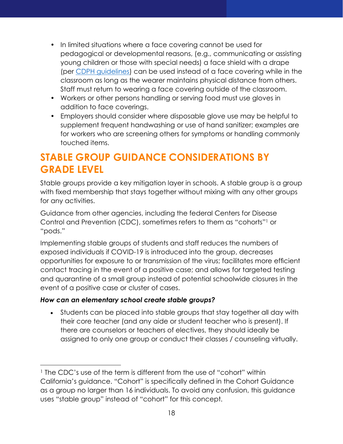- In limited situations where a face covering cannot be used for pedagogical or developmental reasons, (e.g., communicating or assisting young children or those with special needs) a face shield with a drape (per [CDPH guidelines\)](https://www.cdph.ca.gov/Programs/CID/DCDC/Pages/COVID-19/guidance-for-face-coverings.aspx) can be used instead of a face covering while in the classroom as long as the wearer maintains physical distance from others. Staff must return to wearing a face covering outside of the classroom.
- Workers or other persons handling or serving food must use gloves in addition to face coverings.
- Employers should consider where disposable glove use may be helpful to supplement frequent handwashing or use of hand sanitizer; examples are for workers who are screening others for symptoms or handling commonly touched items.

## <span id="page-18-0"></span>**STABLE GROUP GUIDANCE CONSIDERATIONS BY GRADE LEVEL**

Stable groups provide a key mitigation layer in schools. A stable group is a group with fixed membership that stays together without mixing with any other groups for any activities.

Guidance from other agencies, including the federal Centers for Disease Control and Prevention (CDC), sometimes refers to them as "cohorts"<sup>1</sup> or "pods."

Implementing stable groups of students and staff reduces the numbers of exposed individuals if COVID-19 is introduced into the group, decreases opportunities for exposure to or transmission of the virus; facilitates more efficient contact tracing in the event of a positive case; and allows for targeted testing and quarantine of a small group instead of potential schoolwide closures in the event of a positive case or cluster of cases.

#### *How can an elementary school create stable groups?*

• Students can be placed into stable groups that stay together all day with their core teacher (and any aide or student teacher who is present). If there are counselors or teachers of electives, they should ideally be assigned to only one group or conduct their classes / counseling virtually.

<sup>&</sup>lt;sup>1</sup> The CDC's use of the term is different from the use of "cohort" within California's guidance. "Cohort" is specifically defined in the Cohort Guidance as a group no larger than 16 individuals. To avoid any confusion, this guidance uses "stable group" instead of "cohort" for this concept.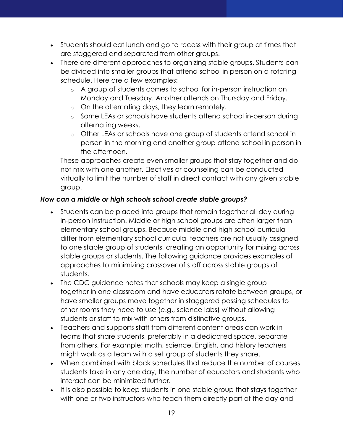- Students should eat lunch and go to recess with their group at times that are staggered and separated from other groups.
- There are different approaches to organizing stable groups. Students can be divided into smaller groups that attend school in person on a rotating schedule. Here are a few examples:
	- o A group of students comes to school for in-person instruction on Monday and Tuesday. Another attends on Thursday and Friday.
	- o On the alternating days, they learn remotely.
	- o Some LEAs or schools have students attend school in-person during alternating weeks.
	- o Other LEAs or schools have one group of students attend school in person in the morning and another group attend school in person in the afternoon.

These approaches create even smaller groups that stay together and do not mix with one another. Electives or counseling can be conducted virtually to limit the number of staff in direct contact with any given stable group.

#### *How can a middle or high schools school create stable groups?*

- Students can be placed into groups that remain together all day during in-person instruction. Middle or high school groups are often larger than elementary school groups. Because middle and high school curricula differ from elementary school curricula, teachers are not usually assigned to one stable group of students, creating an opportunity for mixing across stable groups or students. The following guidance provides examples of approaches to minimizing crossover of staff across stable groups of students.
- The CDC guidance notes that schools may keep a single group together in one classroom and have educators rotate between groups, or have smaller groups move together in staggered passing schedules to other rooms they need to use (e.g., science labs) without allowing students or staff to mix with others from distinctive groups.
- Teachers and supports staff from different content areas can work in teams that share students, preferably in a dedicated space, separate from others. For example: math, science, English, and history teachers might work as a team with a set group of students they share.
- When combined with block schedules that reduce the number of courses students take in any one day, the number of educators and students who interact can be minimized further.
- It is also possible to keep students in one stable group that stays together with one or two instructors who teach them directly part of the day and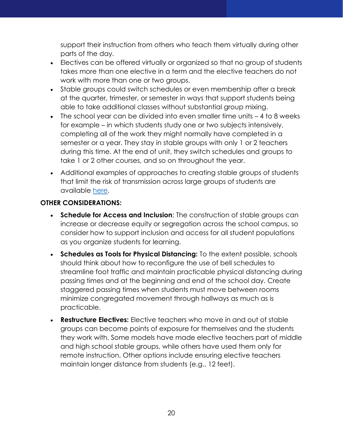support their instruction from others who teach them virtually during other parts of the day.

- Electives can be offered virtually or organized so that no group of students takes more than one elective in a term and the elective teachers do not work with more than one or two groups.
- Stable groups could switch schedules or even membership after a break at the quarter, trimester, or semester in ways that support students being able to take additional classes without substantial group mixing.
- The school year can be divided into even smaller time units 4 to 8 weeks for example – in which students study one or two subjects intensively, completing all of the work they might normally have completed in a semester or a year. They stay in stable groups with only 1 or 2 teachers during this time. At the end of unit, they switch schedules and groups to take 1 or 2 other courses, and so on throughout the year.
- Additional examples of approaches to creating stable groups of students that limit the risk of transmission across large groups of students are available [here.](https://k12playbook.ccee-ca.org/guidebook/schedules-and-cohorts/#tab3)

#### **OTHER CONSIDERATIONS:**

- **Schedule for Access and Inclusion**: The construction of stable groups can increase or decrease equity or segregation across the school campus, so consider how to support inclusion and access for all student populations as you organize students for learning.
- **Schedules as Tools for Physical Distancing:** To the extent possible, schools should think about how to reconfigure the use of bell schedules to streamline foot traffic and maintain practicable physical distancing during passing times and at the beginning and end of the school day. Create staggered passing times when students must move between rooms minimize congregated movement through hallways as much as is practicable.
- **Restructure Electives:** Elective teachers who move in and out of stable groups can become points of exposure for themselves and the students they work with. Some models have made elective teachers part of middle and high school stable groups, while others have used them only for remote instruction. Other options include ensuring elective teachers maintain longer distance from students (e.g., 12 feet).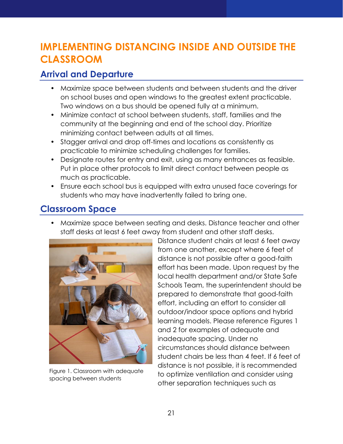## <span id="page-21-0"></span>**IMPLEMENTING DISTANCING INSIDE AND OUTSIDE THE CLASSROOM**

#### <span id="page-21-1"></span>**Arrival and Departure**

- Maximize space between students and between students and the driver on school buses and open windows to the greatest extent practicable. Two windows on a bus should be opened fully at a minimum.
- Minimize contact at school between students, staff, families and the community at the beginning and end of the school day. Prioritize minimizing contact between adults at all times.
- Stagger arrival and drop off-times and locations as consistently as practicable to minimize scheduling challenges for families.
- Designate routes for entry and exit, using as many entrances as feasible. Put in place other protocols to limit direct contact between people as much as practicable.
- Ensure each school bus is equipped with extra unused face coverings for students who may have inadvertently failed to bring one.

#### <span id="page-21-2"></span>**Classroom Space**

• Maximize space between seating and desks. Distance teacher and other staff desks at least 6 feet away from student and other staff desks.



Figure 1. Classroom with adequate spacing between students

Distance student chairs at least 6 feet away from one another, except where 6 feet of distance is not possible after a good-faith effort has been made. Upon request by the local health department and/or State Safe Schools Team, the superintendent should be prepared to demonstrate that good-faith effort, including an effort to consider all outdoor/indoor space options and hybrid learning models. Please reference Figures 1 and 2 for examples of adequate and inadequate spacing. Under no circumstances should distance between student chairs be less than 4 feet. If 6 feet of distance is not possible, it is recommended to optimize ventilation and consider using other separation techniques such as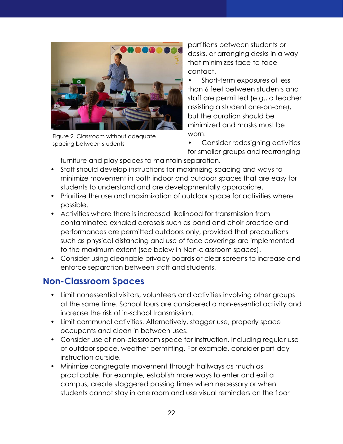

Figure 2. Classroom without adequate spacing between students

partitions between students or desks, or arranging desks in a way that minimizes face-to-face contact.

• Short-term exposures of less than 6 feet between students and staff are permitted (e.g., a teacher assisting a student one-on-one), but the duration should be minimized and masks must be worn.

• Consider redesigning activities for smaller groups and rearranging

furniture and play spaces to maintain separation.

- Staff should develop instructions for maximizing spacing and ways to minimize movement in both indoor and outdoor spaces that are easy for students to understand and are developmentally appropriate.
- Prioritize the use and maximization of outdoor space for activities where possible.
- Activities where there is increased likelihood for transmission from contaminated exhaled aerosols such as band and choir practice and performances are permitted outdoors only, provided that precautions such as physical distancing and use of face coverings are implemented to the maximum extent (see below in Non-classroom spaces).
- Consider using cleanable privacy boards or clear screens to increase and enforce separation between staff and students.

#### <span id="page-22-0"></span>**Non-Classroom Spaces**

- Limit nonessential visitors, volunteers and activities involving other groups at the same time. School tours are considered a non-essential activity and increase the risk of in-school transmission.
- Limit communal activities. Alternatively, stagger use, properly space occupants and clean in between uses.
- Consider use of non-classroom space for instruction, including regular use of outdoor space, weather permitting. For example, consider part-day instruction outside.
- Minimize congregate movement through hallways as much as practicable. For example, establish more ways to enter and exit a campus, create staggered passing times when necessary or when students cannot stay in one room and use visual reminders on the floor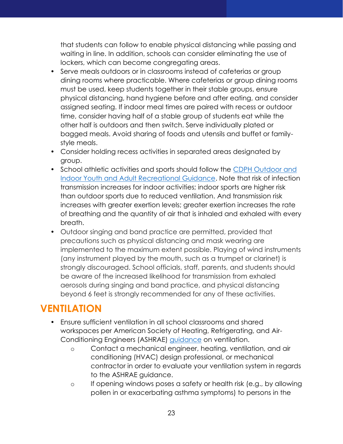that students can follow to enable physical distancing while passing and waiting in line. In addition, schools can consider eliminating the use of lockers, which can become congregating areas.

- Serve meals outdoors or in classrooms instead of cafeterias or group dining rooms where practicable. Where cafeterias or group dining rooms must be used, keep students together in their stable groups, ensure physical distancing, hand hygiene before and after eating, and consider assigned seating. If indoor meal times are paired with recess or outdoor time, consider having half of a stable group of students eat while the other half is outdoors and then switch. Serve individually plated or bagged meals. Avoid sharing of foods and utensils and buffet or familystyle meals.
- Consider holding recess activities in separated areas designated by group.
- School athletic activities and sports should follow the [CDPH Outdoor and](https://www.cdph.ca.gov/Programs/CID/DCDC/Pages/COVID-19/outdoor-indoor-recreational-sports.aspx)  [Indoor Youth and Adult Recreational Guidance.](https://www.cdph.ca.gov/Programs/CID/DCDC/Pages/COVID-19/outdoor-indoor-recreational-sports.aspx) Note that risk of infection transmission increases for indoor activities; indoor sports are higher risk than outdoor sports due to reduced ventilation. And transmission risk increases with greater exertion levels; greater exertion increases the rate of breathing and the quantity of air that is inhaled and exhaled with every breath.
- Outdoor singing and band practice are permitted, provided that precautions such as physical distancing and mask wearing are implemented to the maximum extent possible. Playing of wind instruments (any instrument played by the mouth, such as a trumpet or clarinet) is strongly discouraged. School officials, staff, parents, and students should be aware of the increased likelihood for transmission from exhaled aerosols during singing and band practice, and physical distancing beyond 6 feet is strongly recommended for any of these activities.

## <span id="page-23-0"></span>**VENTILATION**

- Ensure sufficient ventilation in all school classrooms and shared workspaces per American Society of Heating, Refrigerating, and Air-Conditioning Engineers (ASHRAE) [guidance](https://www.ashrae.org/technical-resources/reopening-of-schools-and-universities) on ventilation.
	- o Contact a mechanical engineer, heating, ventilation, and air conditioning (HVAC) design professional, or mechanical contractor in order to evaluate your ventilation system in regards to the ASHRAE guidance.
	- o If opening windows poses a safety or health risk (e.g., by allowing pollen in or exacerbating asthma symptoms) to persons in the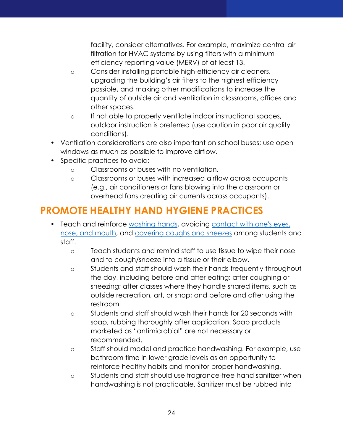facility, consider alternatives. For example, maximize central air filtration for HVAC systems by using filters with a minimum efficiency reporting value (MERV) of at least 13.

- o Consider installing portable high-efficiency air cleaners, upgrading the building's air filters to the highest efficiency possible, and making other modifications to increase the quantity of outside air and ventilation in classrooms, offices and other spaces.
- o If not able to properly ventilate indoor instructional spaces, outdoor instruction is preferred (use caution in poor air quality conditions).
- Ventilation considerations are also important on school buses; use open windows as much as possible to improve airflow.
- Specific practices to avoid:
	- o Classrooms or buses with no ventilation.
	- o Classrooms or buses with increased airflow across occupants (e.g., air conditioners or fans blowing into the classroom or overhead fans creating air currents across occupants).

## <span id="page-24-0"></span>**PROMOTE HEALTHY HAND HYGIENE PRACTICES**

- Teach and reinforce [washing hands,](https://www.cdc.gov/handwashing/index.html) avoiding [contact with one's eyes,](https://www.cdc.gov/coronavirus/2019-ncov/prevent-getting-sick/prevention-H.pdf)  [nose, and mouth,](https://www.cdc.gov/coronavirus/2019-ncov/prevent-getting-sick/prevention-H.pdf) and [covering coughs and sneezes](https://www.cdc.gov/healthywater/hygiene/etiquette/coughing_sneezing.html) among students and staff.
	- o Teach students and remind staff to use tissue to wipe their nose and to cough/sneeze into a tissue or their elbow.
	- o Students and staff should wash their hands frequently throughout the day, including before and after eating; after coughing or sneezing; after classes where they handle shared items, such as outside recreation, art, or shop; and before and after using the restroom.
	- o Students and staff should wash their hands for 20 seconds with soap, rubbing thoroughly after application. Soap products marketed as "antimicrobial" are not necessary or recommended.
	- o Staff should model and practice handwashing. For example, use bathroom time in lower grade levels as an opportunity to reinforce healthy habits and monitor proper handwashing.
	- o Students and staff should use fragrance-free hand sanitizer when handwashing is not practicable. Sanitizer must be rubbed into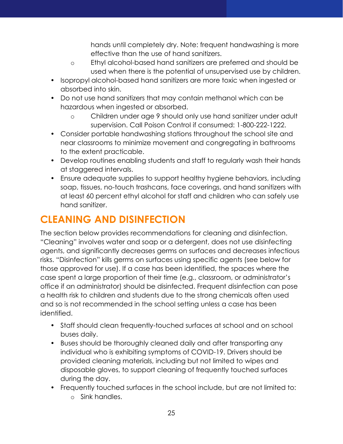hands until completely dry. Note: frequent handwashing is more effective than the use of hand sanitizers.

- o Ethyl alcohol-based hand sanitizers are preferred and should be used when there is the potential of unsupervised use by children.
- Isopropyl alcohol-based hand sanitizers are more toxic when ingested or absorbed into skin.
- Do not use hand sanitizers that may contain methanol which can be hazardous when ingested or absorbed.
	- o Children under age 9 should only use hand sanitizer under adult supervision. Call Poison Control if consumed: 1-800-222-1222.
- Consider portable handwashing stations throughout the school site and near classrooms to minimize movement and congregating in bathrooms to the extent practicable.
- Develop routines enabling students and staff to regularly wash their hands at staggered intervals.
- Ensure adequate supplies to support healthy hygiene behaviors, including soap, tissues, no-touch trashcans, face coverings, and hand sanitizers with at least 60 percent ethyl alcohol for staff and children who can safely use hand sanitizer.

## <span id="page-25-0"></span>**CLEANING AND DISINFECTION**

The section below provides recommendations for cleaning and disinfection. "Cleaning" involves water and soap or a detergent, does not use disinfecting agents, and significantly decreases germs on surfaces and decreases infectious risks. "Disinfection" kills germs on surfaces using specific agents (see below for those approved for use). If a case has been identified, the spaces where the case spent a large proportion of their time (e.g., classroom, or administrator's office if an administrator) should be disinfected. Frequent disinfection can pose a health risk to children and students due to the strong chemicals often used and so is not recommended in the school setting unless a case has been identified.

- Staff should clean frequently-touched surfaces at school and on school buses daily.
- Buses should be thoroughly cleaned daily and after transporting any individual who is exhibiting symptoms of COVID-19. Drivers should be provided cleaning materials, including but not limited to wipes and disposable gloves, to support cleaning of frequently touched surfaces during the day.
- Frequently touched surfaces in the school include, but are not limited to:
	- o Sink handles.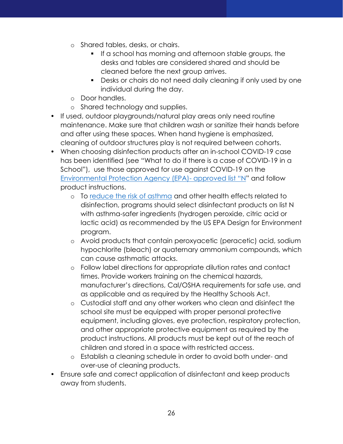- o Shared tables, desks, or chairs.
	- **•** If a school has morning and afternoon stable groups, the desks and tables are considered shared and should be cleaned before the next group arrives.
	- Desks or chairs do not need daily cleaning if only used by one individual during the day.
- o Door handles.
- o Shared technology and supplies.
- If used, outdoor playgrounds/natural play areas only need routine maintenance. Make sure that children wash or sanitize their hands before and after using these spaces. When hand hygiene is emphasized, cleaning of outdoor structures play is not required between cohorts.
- When choosing disinfection products after an in-school COVID-19 case has been identified (see "What to do if there is a case of COVID-19 in a School"), use those approved for use against COVID-19 on the [Environmental Protection Agency \(EPA\)-](https://www.epa.gov/pesticide-registration/list-n-disinfectants-coronavirus-covid-19) approved list "N" and follow product instructions.
	- o To [reduce the risk of asthma](https://www.cdph.ca.gov/Programs/CCDPHP/DEODC/OHB/Pages/OHWMay2020.aspx) and other health effects related to disinfection, programs should select disinfectant products on list N with asthma-safer ingredients (hydrogen peroxide, citric acid or lactic acid) as recommended by the US EPA Design for Environment program.
	- o Avoid products that contain peroxyacetic (peracetic) acid, sodium hypochlorite (bleach) or quaternary ammonium compounds, which can cause asthmatic attacks.
	- o Follow label directions for appropriate dilution rates and contact times. Provide workers training on the chemical hazards, manufacturer's directions, Cal/OSHA requirements for safe use, and as applicable and as required by the Healthy Schools Act.
	- o Custodial staff and any other workers who clean and disinfect the school site must be equipped with proper personal protective equipment, including gloves, eye protection, respiratory protection, and other appropriate protective equipment as required by the product instructions. All products must be kept out of the reach of children and stored in a space with restricted access.
	- o Establish a cleaning schedule in order to avoid both under- and over-use of cleaning products.
- Ensure safe and correct application of disinfectant and keep products away from students.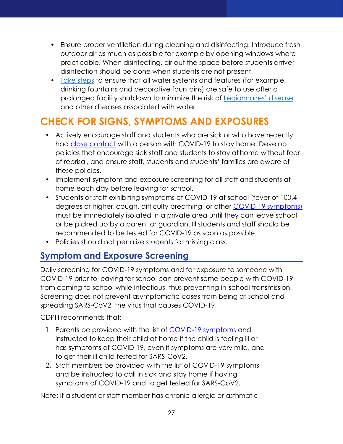- Ensure proper ventilation during cleaning and disinfecting. Introduce fresh outdoor air as much as possible for example by opening windows where practicable. When disinfecting, air out the space before students arrive; disinfection should be done when students are not present.
- [Take steps](https://www.cdc.gov/coronavirus/2019-ncov/php/building-water-system.html) to ensure that all water systems and features (for example, drinking fountains and decorative fountains) are safe to use after a prolonged facility shutdown to minimize the risk of [Legionnaires' disease](https://www.cdc.gov/legionella/index.html) and other diseases associated with water.

## <span id="page-27-0"></span>**CHECK FOR SIGNS, SYMPTOMS AND EXPOSURES**

- Actively encourage staff and students who are sick or who have recently had [close contact](https://www.cdc.gov/coronavirus/2019-ncov/php/public-health-recommendations.html) with a person with COVID-19 to stay home. Develop policies that encourage sick staff and students to stay at home without fear of reprisal, and ensure staff, students and students' families are aware of these policies.
- Implement symptom and exposure screening for all staff and students at home each day before leaving for school.
- Students or staff exhibiting symptoms of COVID-19 at school (fever of 100.4 degrees or higher, cough, difficulty breathing, or other COVID-19 [symptoms\)](https://www.cdc.gov/coronavirus/2019-ncov/symptoms-testing/symptoms.html) must be immediately isolated in a private area until they can leave school or be picked up by a parent or guardian. Ill students and staff should be recommended to be tested for COVID-19 as soon as possible.
- Policies should not penalize students for missing class.

#### <span id="page-27-1"></span>**Symptom and Exposure Screening**

Daily screening for COVID-19 symptoms and for exposure to someone with COVID-19 prior to leaving for school can prevent some people with COVID-19 from coming to school while infectious, thus preventing in-school transmission. Screening does not prevent asymptomatic cases from being at school and spreading SARS-CoV2, the virus that causes COVID-19.

CDPH recommends that:

- 1. Parents be provided with the list of [COVID-19 symptoms](https://www.cdc.gov/coronavirus/2019-ncov/community/schools-childcare/symptom-screening.html#symptoms) and instructed to keep their child at home if the child is feeling ill or has symptoms of COVID-19, even if symptoms are very mild, and to get their ill child tested for SARS-CoV2.
- 2. Staff members be provided with the list of COVID-19 symptoms and be instructed to call in sick and stay home if having symptoms of COVID-19 and to get tested for SARS-CoV2.

Note: If a student or staff member has chronic allergic or asthmatic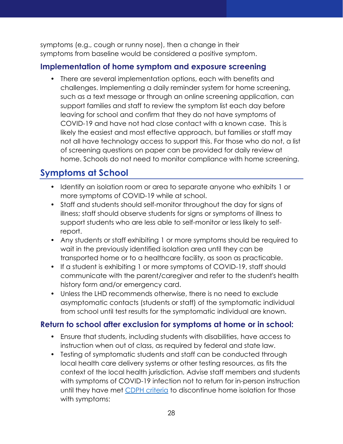symptoms (e.g., cough or runny nose), then a change in their symptoms from baseline would be considered a positive symptom.

#### **Implementation of home symptom and exposure screening**

• There are several implementation options, each with benefits and challenges. Implementing a daily reminder system for home screening, such as a text message or through an online screening application, can support families and staff to review the symptom list each day before leaving for school and confirm that they do not have symptoms of COVID-19 and have not had close contact with a known case. This is likely the easiest and most effective approach, but families or staff may not all have technology access to support this. For those who do not, a list of screening questions on paper can be provided for daily review at home. Schools do not need to monitor compliance with home screening.

#### <span id="page-28-0"></span>**Symptoms at School**

- Identify an isolation room or area to separate anyone who exhibits 1 or more symptoms of COVID-19 while at school.
- Staff and students should self-monitor throughout the day for signs of illness; staff should observe students for signs or symptoms of illness to support students who are less able to self-monitor or less likely to selfreport.
- Any students or staff exhibiting 1 or more symptoms should be required to wait in the previously identified isolation area until they can be transported home or to a healthcare facility, as soon as practicable.
- If a student is exhibiting 1 or more symptoms of COVID-19, staff should communicate with the parent/caregiver and refer to the student's health history form and/or emergency card.
- Unless the LHD recommends otherwise, there is no need to exclude asymptomatic contacts (students or staff) of the symptomatic individual from school until test results for the symptomatic individual are known.

#### **Return to school after exclusion for symptoms at home or in school:**

- Ensure that students, including students with disabilities, have access to instruction when out of class, as required by federal and state law.
- Testing of symptomatic students and staff can be conducted through local health care delivery systems or other testing resources, as fits the context of the local health jurisdiction. Advise staff members and students with symptoms of COVID-19 infection not to return for in-person instruction until they have met CDPH [criteria](https://www.cdph.ca.gov/Programs/CID/DCDC/Pages/COVID-19/Guidance-on-Returning-to-Work-or-School-Following-COVID-19-Diagnosis.aspx) to discontinue home isolation for those with symptoms: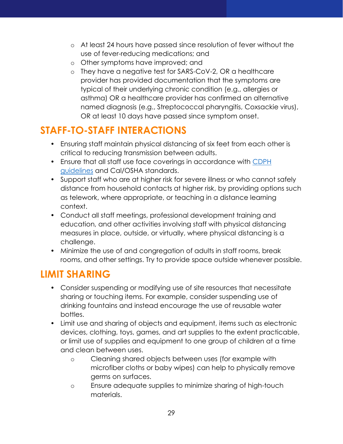- o At least 24 hours have passed since resolution of fever without the use of fever-reducing medications; and
- o Other symptoms have improved; and
- o They have a negative test for SARS-CoV-2, OR a healthcare provider has provided documentation that the symptoms are typical of their underlying chronic condition (e.g., allergies or asthma) OR a healthcare provider has confirmed an alternative named diagnosis (e.g., Streptococcal pharyngitis, Coxsackie virus), OR at least 10 days have passed since symptom onset.

## <span id="page-29-0"></span>**STAFF-TO-STAFF INTERACTIONS**

- Ensuring staff maintain physical distancing of six feet from each other is critical to reducing transmission between adults.
- Ensure that all staff use face coverings in accordance with [CDPH](https://www.cdph.ca.gov/Programs/CID/DCDC/Pages/COVID-19/guidance-for-face-coverings.aspx)  [guidelines](https://www.cdph.ca.gov/Programs/CID/DCDC/Pages/COVID-19/guidance-for-face-coverings.aspx) and Cal/OSHA standards.
- Support staff who are at higher risk for severe illness or who cannot safely distance from household contacts at higher risk, by providing options such as telework, where appropriate, or teaching in a distance learning context.
- Conduct all staff meetings, professional development training and education, and other activities involving staff with physical distancing measures in place, outside, or virtually, where physical distancing is a challenge.
- Minimize the use of and congregation of adults in staff rooms, break rooms, and other settings. Try to provide space outside whenever possible.

#### <span id="page-29-1"></span>**LIMIT SHARING**

- Consider suspending or modifying use of site resources that necessitate sharing or touching items. For example, consider suspending use of drinking fountains and instead encourage the use of reusable water bottles.
- Limit use and sharing of objects and equipment, items such as electronic devices, clothing, toys, games, and art supplies to the extent practicable, or limit use of supplies and equipment to one group of children at a time and clean between uses.
	- o Cleaning shared objects between uses (for example with microfiber cloths or baby wipes) can help to physically remove germs on surfaces.
	- o Ensure adequate supplies to minimize sharing of high-touch materials.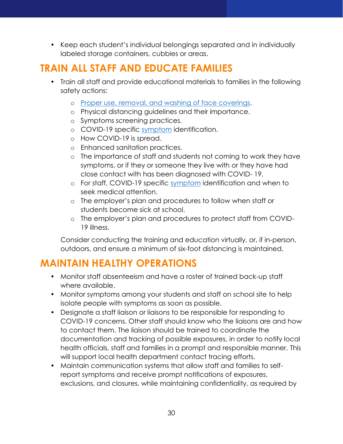• Keep each student's individual belongings separated and in individually labeled storage containers, cubbies or areas.

## <span id="page-30-0"></span>**TRAIN ALL STAFF AND EDUCATE FAMILIES**

- Train all staff and provide educational materials to families in the following safety actions:
	- o [Proper use, removal, and washing of face coverings.](https://gcc02.safelinks.protection.outlook.com/?url=https%3A%2F%2Fwww.cdc.gov%2Fcoronavirus%2F2019-ncov%2Fprevent-getting-sick%2Fdiy-cloth-face-coverings.html&data=04%7C01%7C%7C2c60a839d3c5407eb03708d8a521a091%7C28891a93888f489f9930e78b8f733ca6%7C0%7C0%7C637440911152490660%7CUnknown%7CTWFpbGZsb3d8eyJWIjoiMC4wLjAwMDAiLCJQIjoiV2luMzIiLCJBTiI6Ik1haWwiLCJXVCI6Mn0%3D%7C1000&sdata=DPx6jrgs1URYoq1JuUSzsE6CVgEhNwH5%2BgeHL6BHhBg%3D&reserved=0)
	- o Physical distancing guidelines and their importance.
	- o Symptoms screening practices.
	- o COVID-19 specific [symptom](https://gcc02.safelinks.protection.outlook.com/?url=https%3A%2F%2Fwww.cdc.gov%2Fcoronavirus%2F2019-ncov%2Fsymptoms-testing%2Fsymptoms.html&data=04%7C01%7C%7C2c60a839d3c5407eb03708d8a521a091%7C28891a93888f489f9930e78b8f733ca6%7C0%7C0%7C637440911152500616%7CUnknown%7CTWFpbGZsb3d8eyJWIjoiMC4wLjAwMDAiLCJQIjoiV2luMzIiLCJBTiI6Ik1haWwiLCJXVCI6Mn0%3D%7C1000&sdata=s6DxyiFbxWZ96X5OPkMzIVuD%2FagHdUZP%2FlMw%2BC6JwN4%3D&reserved=0) identification.
	- o How COVID-19 is spread.
	- o Enhanced sanitation practices.
	- o The importance of staff and students not coming to work they have symptoms, or if they or someone they live with or they have had close contact with has been diagnosed with COVID- 19.
	- o For staff, COVID-19 specific [symptom](https://gcc02.safelinks.protection.outlook.com/?url=https%3A%2F%2Fwww.cdc.gov%2Fcoronavirus%2F2019-ncov%2Fsymptoms-testing%2Fsymptoms.html&data=04%7C01%7C%7C2c60a839d3c5407eb03708d8a521a091%7C28891a93888f489f9930e78b8f733ca6%7C0%7C0%7C637440911152500616%7CUnknown%7CTWFpbGZsb3d8eyJWIjoiMC4wLjAwMDAiLCJQIjoiV2luMzIiLCJBTiI6Ik1haWwiLCJXVCI6Mn0%3D%7C1000&sdata=s6DxyiFbxWZ96X5OPkMzIVuD%2FagHdUZP%2FlMw%2BC6JwN4%3D&reserved=0) identification and when to seek medical attention.
	- o The employer's plan and procedures to follow when staff or students become sick at school.
	- o The employer's plan and procedures to protect staff from COVID-19 illness.

Consider conducting the training and education virtually, or, if in-person, outdoors, and ensure a minimum of six-foot distancing is maintained.

#### <span id="page-30-1"></span>**MAINTAIN HEALTHY OPERATIONS**

- Monitor staff absenteeism and have a roster of trained back-up staff where available.
- Monitor symptoms among your students and staff on school site to help isolate people with symptoms as soon as possible.
- Designate a staff liaison or liaisons to be responsible for responding to COVID-19 concerns. Other staff should know who the liaisons are and how to contact them. The liaison should be trained to coordinate the documentation and tracking of possible exposures, in order to notify local health officials, staff and families in a prompt and responsible manner. This will support local health department contact tracing efforts.
- Maintain communication systems that allow staff and families to selfreport symptoms and receive prompt notifications of exposures, exclusions, and closures, while maintaining confidentiality, as required by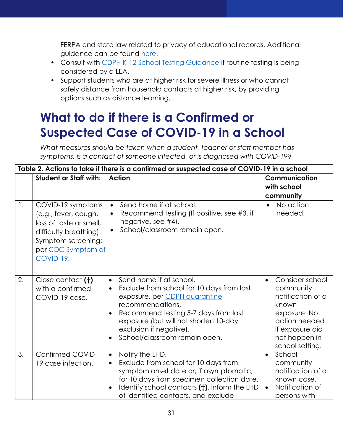FERPA and state law related to privacy of educational records. Additional guidance can be found [here.](https://studentprivacy.ed.gov/sites/default/files/resource_document/file/FERPA%20and%20Coronavirus%20Frequently%20Asked%20Questions.pdf)

- Consult with [CDPH K-12 School Testing Guidance](https://www.cdph.ca.gov/Programs/CID/DCDC/CDPH%20Document%20Library/COVID-19/K12_School_Testing_Considerations_Information.pdf) if routine testing is being considered by a LEA.
- Support students who are at higher risk for severe illness or who cannot safely distance from household contacts at higher risk, by providing options such as distance learning.

# <span id="page-31-0"></span>**What to do if there is a Confirmed or Suspected Case of COVID-19 in a School**

*What measures should be taken when a student, teacher or staff member has symptoms, is a contact of someone infected, or is diagnosed with COVID-19?*

| Table 2. Actions to take if there is a confirmed or suspected case of COVID-19 in a school |                                                                                                                                                               |                                                                                                                                                                                                                                                                                                                            |                                                                                                                                                                 |
|--------------------------------------------------------------------------------------------|---------------------------------------------------------------------------------------------------------------------------------------------------------------|----------------------------------------------------------------------------------------------------------------------------------------------------------------------------------------------------------------------------------------------------------------------------------------------------------------------------|-----------------------------------------------------------------------------------------------------------------------------------------------------------------|
|                                                                                            | <b>Student or Staff with:</b>                                                                                                                                 | <b>Action</b>                                                                                                                                                                                                                                                                                                              | Communication<br>with school<br>community                                                                                                                       |
| 1.                                                                                         | COVID-19 symptoms<br>(e.g., fever, cough,<br>loss of taste or smell,<br>difficulty breathing)<br>Symptom screening:<br>per CDC Symptom of<br><b>COVID-19.</b> | Send home if at school.<br>$\bullet$<br>Recommend testing (If positive, see #3, if<br>$\bullet$<br>negative, see $#4$ ).<br>School/classroom remain open.<br>$\bullet$                                                                                                                                                     | No action<br>needed.                                                                                                                                            |
| 2.                                                                                         | Close contact (†)<br>with a confirmed<br>COVID-19 case.                                                                                                       | Send home if at school.<br>$\bullet$<br>Exclude from school for 10 days from last<br>$\bullet$<br>exposure, per CDPH quarantine<br>recommendations.<br>Recommend testing 5-7 days from last<br>$\bullet$<br>exposure (but will not shorten 10-day<br>exclusion if negative).<br>School/classroom remain open.<br>$\bullet$ | Consider school<br>$\bullet$<br>community<br>notification of a<br>known<br>exposure. No<br>action needed<br>if exposure did<br>not happen in<br>school setting. |
| 3.                                                                                         | Confirmed COVID-<br>19 case infection.                                                                                                                        | Notify the LHD.<br>$\bullet$<br>Exclude from school for 10 days from<br>$\bullet$<br>symptom onset date or, if asymptomatic,<br>for 10 days from specimen collection date.<br>Identify school contacts (+), inform the LHD<br>of identified contacts, and exclude                                                          | School<br>$\bullet$<br>community<br>notification of a<br>known case.<br>Notification of<br>persons with                                                         |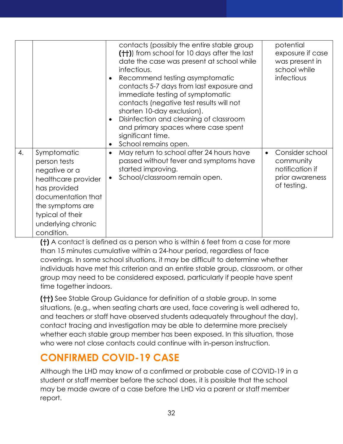|    |                                                                                                                                                                                       | contacts (possibly the entire stable group<br>(++)) from school for 10 days after the last<br>date the case was present at school while<br>infectious.<br>Recommend testing asymptomatic<br>contacts 5-7 days from last exposure and<br>immediate testing of symptomatic<br>contacts (negative test results will not<br>shorten 10-day exclusion).<br>Disinfection and cleaning of classroom<br>$\bullet$<br>and primary spaces where case spent<br>significant time.<br>School remains open.<br>$\bullet$ | potential<br>exposure if case<br>was present in<br>school while<br>infectious     |
|----|---------------------------------------------------------------------------------------------------------------------------------------------------------------------------------------|------------------------------------------------------------------------------------------------------------------------------------------------------------------------------------------------------------------------------------------------------------------------------------------------------------------------------------------------------------------------------------------------------------------------------------------------------------------------------------------------------------|-----------------------------------------------------------------------------------|
| 4. | Symptomatic<br>person tests<br>negative or a<br>healthcare provider<br>has provided<br>documentation that<br>the symptoms are<br>typical of their<br>underlying chronic<br>condition. | May return to school after 24 hours have<br>$\bullet$<br>passed without fever and symptoms have<br>started improving.<br>School/classroom remain open.<br>$\bullet$                                                                                                                                                                                                                                                                                                                                        | Consider school<br>community<br>notification if<br>prior awareness<br>of testing. |

**(†)** A contact is defined as a person who is within 6 feet from a case for more than 15 minutes cumulative within a 24-hour period, regardless of face coverings. In some school situations, it may be difficult to determine whether individuals have met this criterion and an entire stable group, classroom, or other group may need to be considered exposed, particularly if people have spent time together indoors.

**(††)** See Stable Group Guidance for definition of a stable group. In some situations, (e.g., when seating charts are used, face covering is well adhered to, and teachers or staff have observed students adequately throughout the day), contact tracing and investigation may be able to determine more precisely whether each stable group member has been exposed. In this situation, those who were not close contacts could continue with in-person instruction.

## <span id="page-32-0"></span>**CONFIRMED COVID-19 CASE**

Although the LHD may know of a confirmed or probable case of COVID-19 in a student or staff member before the school does, it is possible that the school may be made aware of a case before the LHD via a parent or staff member report.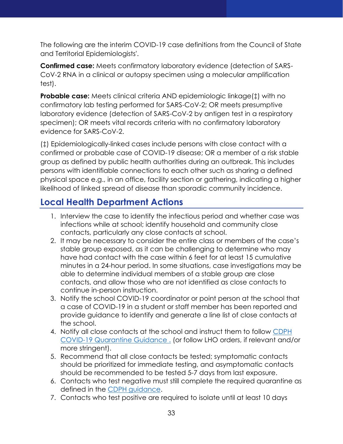The following are the interim COVID-19 case definitions from the Council of State and Territorial Epidemiologists'.

**Confirmed case:** Meets confirmatory laboratory evidence (detection of SARS-CoV-2 RNA in a clinical or autopsy specimen using a molecular amplification test).

**Probable case:** Meets clinical criteria AND epidemiologic linkage(1) with no confirmatory lab testing performed for SARS-CoV-2; OR meets presumptive laboratory evidence (detection of SARS-CoV-2 by antigen test in a respiratory specimen); OR meets vital records criteria with no confirmatory laboratory evidence for SARS-CoV-2.

(‡) Epidemiologically-linked cases include persons with close contact with a confirmed or probable case of COVID-19 disease; OR a member of a risk stable group as defined by public health authorities during an outbreak. This includes persons with identifiable connections to each other such as sharing a defined physical space e.g., in an office, facility section or gathering, indicating a higher likelihood of linked spread of disease than sporadic community incidence.

#### <span id="page-33-0"></span>**Local Health Department Actions**

- 1. Interview the case to identify the infectious period and whether case was infections while at school; identify household and community close contacts, particularly any close contacts at school.
- 2. It may be necessary to consider the entire class or members of the case's stable group exposed, as it can be challenging to determine who may have had contact with the case within 6 feet for at least 15 cumulative minutes in a 24-hour period. In some situations, case investigations may be able to determine individual members of a stable group are close contacts, and allow those who are not identified as close contacts to continue in-person instruction.
- 3. Notify the school COVID-19 coordinator or point person at the school that a case of COVID-19 in a student or staff member has been reported and provide guidance to identify and generate a line list of close contacts at the school.
- 4. Notify all close contacts at the school and instruct them to follow [CDPH](https://www.cdph.ca.gov/Programs/CID/DCDC/Pages/COVID-19/COVID-19-Quarantine.aspx)  [COVID-19 Quarantine Guidance](https://www.cdph.ca.gov/Programs/CID/DCDC/Pages/COVID-19/COVID-19-Quarantine.aspx) . (or follow LHO orders, if relevant and/or more stringent).
- 5. Recommend that all close contacts be tested; symptomatic contacts should be prioritized for immediate testing, and asymptomatic contacts should be recommended to be tested 5-7 days from last exposure.
- 6. Contacts who test negative must still complete the required quarantine as defined in the [CDPH guidance.](https://www.cdph.ca.gov/Programs/CID/DCDC/Pages/COVID-19/COVID-19-Quarantine.aspx)
- 7. Contacts who test positive are required to isolate until at least 10 days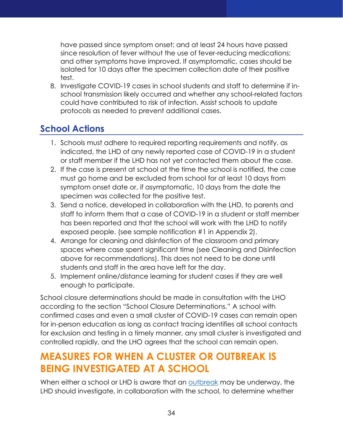have passed since symptom onset; and at least 24 hours have passed since resolution of fever without the use of fever-reducing medications; and other symptoms have improved. If asymptomatic, cases should be isolated for 10 days after the specimen collection date of their positive test.

8. Investigate COVID-19 cases in school students and staff to determine if inschool transmission likely occurred and whether any school-related factors could have contributed to risk of infection. Assist schools to update protocols as needed to prevent additional cases.

#### <span id="page-34-0"></span>**School Actions**

- 1. Schools must adhere to required reporting requirements and notify, as indicated, the LHD of any newly reported case of COVID-19 in a student or staff member if the LHD has not yet contacted them about the case.
- 2. If the case is present at school at the time the school is notified, the case must go home and be excluded from school for at least 10 days from symptom onset date or, if asymptomatic, 10 days from the date the specimen was collected for the positive test.
- 3. Send a notice, developed in collaboration with the LHD, to parents and staff to inform them that a case of COVID-19 in a student or staff member has been reported and that the school will work with the LHD to notify exposed people. (see sample notification #1 in Appendix 2).
- 4. Arrange for cleaning and disinfection of the classroom and primary spaces where case spent significant time (see Cleaning and Disinfection above for recommendations). This does not need to be done until students and staff in the area have left for the day.
- 5. Implement online/distance learning for student cases if they are well enough to participate.

School closure determinations should be made in consultation with the LHO according to the section "School Closure Determinations." A school with confirmed cases and even a small cluster of COVID-19 cases can remain open for in-person education as long as contact tracing identifies all school contacts for exclusion and testing in a timely manner, any small cluster is investigated and controlled rapidly, and the LHO agrees that the school can remain open.

## <span id="page-34-1"></span>**MEASURES FOR WHEN A CLUSTER OR OUTBREAK IS BEING INVESTIGATED AT A SCHOOL**

When either a school or LHD is aware that an [outbreak](https://www.cdph.ca.gov/Programs/CID/DCDC/Pages/COVID-19/OutbreakDefinitionandReportingGuidance.aspx) may be underway, the LHD should investigate, in collaboration with the school, to determine whether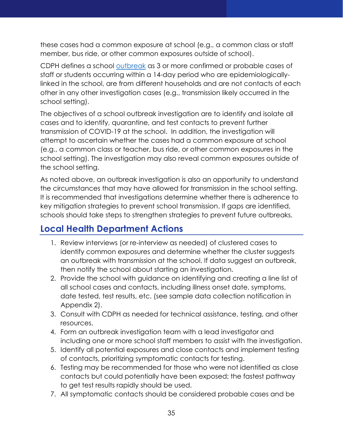these cases had a common exposure at school (e.g., a common class or staff member, bus ride, or other common exposures outside of school).

CDPH defines a school [outbreak](https://www.cdph.ca.gov/Programs/CID/DCDC/Pages/COVID-19/OutbreakDefinitionandReportingGuidance.aspx) as 3 or more confirmed or probable cases of staff or students occurring within a 14-day period who are epidemiologicallylinked in the school, are from different households and are not contacts of each other in any other investigation cases (e.g., transmission likely occurred in the school setting).

The objectives of a school outbreak investigation are to identify and isolate all cases and to identify, quarantine, and test contacts to prevent further transmission of COVID-19 at the school. In addition, the investigation will attempt to ascertain whether the cases had a common exposure at school (e.g., a common class or teacher, bus ride, or other common exposures in the school setting). The investigation may also reveal common exposures outside of the school setting.

As noted above, an outbreak investigation is also an opportunity to understand the circumstances that may have allowed for transmission in the school setting. It is recommended that investigations determine whether there is adherence to key mitigation strategies to prevent school transmission. If gaps are identified, schools should take steps to strengthen strategies to prevent future outbreaks.

#### <span id="page-35-0"></span>**Local Health Department Actions**

- 1. Review interviews (or re-interview as needed) of clustered cases to identify common exposures and determine whether the cluster suggests an outbreak with transmission at the school. If data suggest an outbreak, then notify the school about starting an investigation.
- 2. Provide the school with guidance on identifying and creating a line list of all school cases and contacts, including illness onset date, symptoms, date tested, test results, etc. (see sample data collection notification in Appendix 2).
- 3. Consult with CDPH as needed for technical assistance, testing, and other resources.
- 4. Form an outbreak investigation team with a lead investigator and including one or more school staff members to assist with the investigation.
- 5. Identify all potential exposures and close contacts and implement testing of contacts, prioritizing symptomatic contacts for testing.
- 6. Testing may be recommended for those who were not identified as close contacts but could potentially have been exposed; the fastest pathway to get test results rapidly should be used.
- 7. All symptomatic contacts should be considered probable cases and be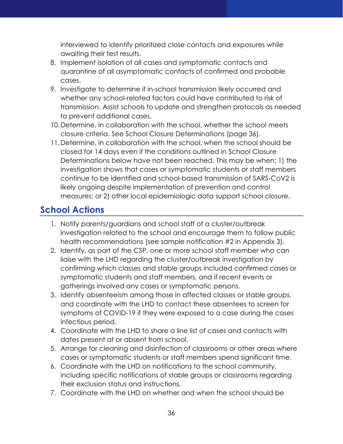interviewed to identify prioritized close contacts and exposures while awaiting their test results.

- 8. Implement isolation of all cases and symptomatic contacts and quarantine of all asymptomatic contacts of confirmed and probable cases.
- 9. Investigate to determine if in-school transmission likely occurred and whether any school-related factors could have contributed to risk of transmission. Assist schools to update and strengthen protocols as needed to prevent additional cases.
- 10.Determine, in collaboration with the school, whether the school meets closure criteria. See School Closure Determinations (page 36).
- 11.Determine, in collaboration with the school, when the school should be closed for 14 days even if the conditions outlined in School Closure Determinations below have not been reached. This may be when: 1) the investigation shows that cases or symptomatic students or staff members continue to be identified and school-based transmission of SARS-CoV2 is likely ongoing despite implementation of prevention and control measures; or 2) other local epidemiologic data support school closure.

#### <span id="page-36-0"></span>**School Actions**

- 1. Notify parents/guardians and school staff of a cluster/outbreak investigation related to the school and encourage them to follow public health recommendations (see sample notification #2 in Appendix 3).
- 2. Identify, as part of the CSP, one or more school staff member who can liaise with the LHD regarding the cluster/outbreak investigation by confirming which classes and stable groups included confirmed cases or symptomatic students and staff members, and if recent events or gatherings involved any cases or symptomatic persons.
- 3. Identify absenteeism among those in affected classes or stable groups, and coordinate with the LHD to contact these absentees to screen for symptoms of COVID-19 if they were exposed to a case during the cases infectious period.
- 4. Coordinate with the LHD to share a line list of cases and contacts with dates present at or absent from school.
- 5. Arrange for cleaning and disinfection of classrooms or other areas where cases or symptomatic students or staff members spend significant time.
- 6. Coordinate with the LHD on notifications to the school community, including specific notifications of stable groups or classrooms regarding their exclusion status and instructions.
- 7. Coordinate with the LHD on whether and when the school should be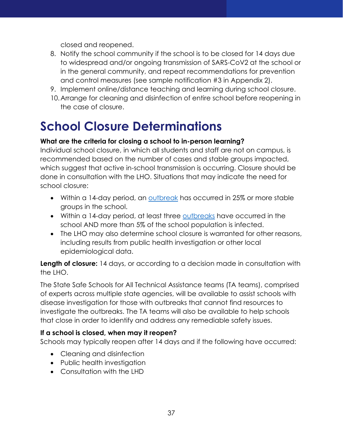closed and reopened.

- 8. Notify the school community if the school is to be closed for 14 days due to widespread and/or ongoing transmission of SARS-CoV2 at the school or in the general community, and repeat recommendations for prevention and control measures (see sample notification #3 in Appendix 2).
- 9. Implement online/distance teaching and learning during school closure.
- 10.Arrange for cleaning and disinfection of entire school before reopening in the case of closure.

# <span id="page-37-0"></span>**School Closure Determinations**

#### **What are the criteria for closing a school to in-person learning?**

Individual school closure, in which all students and staff are not on campus, is recommended based on the number of cases and stable groups impacted, which suggest that active in-school transmission is occurring. Closure should be done in consultation with the LHO. Situations that may indicate the need for school closure:

- Within a 14-day period, an [outbreak](https://www.cdph.ca.gov/Programs/CID/DCDC/Pages/COVID-19/OutbreakDefinitionandReportingGuidance.aspx) has occurred in 25% or more stable groups in the school.
- Within a 14-day period, at least three [outbreaks](https://www.cdph.ca.gov/Programs/CID/DCDC/Pages/COVID-19/OutbreakDefinitionandReportingGuidance.aspx) have occurred in the school AND more than 5% of the school population is infected.
- The LHO may also determine school closure is warranted for other reasons, including results from public health investigation or other local epidemiological data.

**Length of closure:** 14 days, or according to a decision made in consultation with the LHO.

The State Safe Schools for All Technical Assistance teams (TA teams), comprised of experts across multiple state agencies, will be available to assist schools with disease investigation for those with outbreaks that cannot find resources to investigate the outbreaks. The TA teams will also be available to help schools that close in order to identify and address any remediable safety issues.

#### **If a school is closed, when may it reopen?**

Schools may typically reopen after 14 days and if the following have occurred:

- Cleaning and disinfection
- Public health investigation
- Consultation with the LHD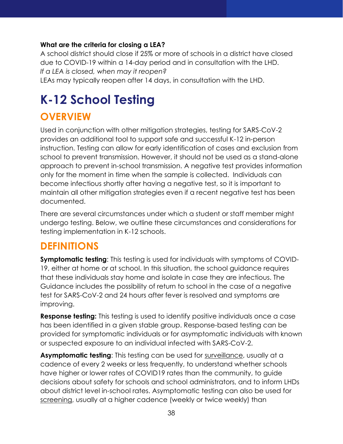#### **What are the criteria for closing a LEA?**

A school district should close if 25% or more of schools in a district have closed due to COVID-19 within a 14-day period and in consultation with the LHD. *If a LEA is closed, when may it reopen?*

LEAs may typically reopen after 14 days, in consultation with the LHD.

# <span id="page-38-0"></span>**K-12 School Testing**

#### <span id="page-38-1"></span>**OVERVIEW**

Used in conjunction with other mitigation strategies, testing for SARS-CoV-2 provides an additional tool to support safe and successful K-12 in-person instruction. Testing can allow for early identification of cases and exclusion from school to prevent transmission. However, it should not be used as a stand-alone approach to prevent in-school transmission. A negative test provides information only for the moment in time when the sample is collected. Individuals can become infectious shortly after having a negative test, so it is important to maintain all other mitigation strategies even if a recent negative test has been documented.

There are several circumstances under which a student or staff member might undergo testing. Below, we outline these circumstances and considerations for testing implementation in K-12 schools.

#### <span id="page-38-2"></span>**DEFINITIONS**

**Symptomatic testing**: This testing is used for individuals with symptoms of COVID-19, either at home or at school. In this situation, the school guidance requires that these individuals stay home and isolate in case they are infectious. The Guidance includes the possibility of return to school in the case of a negative test for SARS-CoV-2 and 24 hours after fever is resolved and symptoms are improving.

**Response testing:** This testing is used to identify positive individuals once a case has been identified in a given stable group. Response-based testing can be provided for symptomatic individuals or for asymptomatic individuals with known or suspected exposure to an individual infected with SARS-CoV-2.

**Asymptomatic testing:** This testing can be used for surveillance, usually at a cadence of every 2 weeks or less frequently, to understand whether schools have higher or lower rates of COVID19 rates than the community, to guide decisions about safety for schools and school administrators, and to inform LHDs about district level in-school rates. Asymptomatic testing can also be used for screening, usually at a higher cadence (weekly or twice weekly) than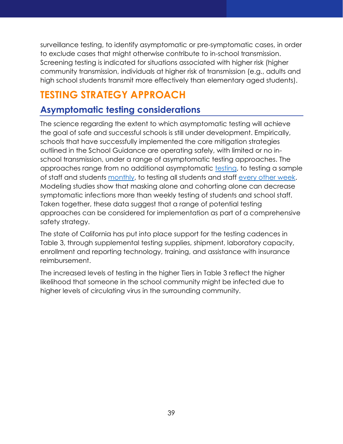surveillance testing, to identify asymptomatic or pre-symptomatic cases, in order to exclude cases that might otherwise contribute to in-school transmission. Screening testing is indicated for situations associated with higher risk (higher community transmission, individuals at higher risk of transmission (e.g., adults and high school students transmit more effectively than elementary aged students).

## <span id="page-39-0"></span>**TESTING STRATEGY APPROACH**

#### <span id="page-39-1"></span>**Asymptomatic testing considerations**

The science regarding the extent to which asymptomatic testing will achieve the goal of safe and successful schools is still under development. Empirically, schools that have successfully implemented the core mitigation strategies outlined in the School Guidance are operating safely, with limited or no inschool transmission, under a range of asymptomatic testing approaches. The approaches range from no additional asymptomatic [testing,](https://pediatrics.aappublications.org/content/early/2021/01/06/peds.2020-048090) to testing a sample of staff and students [monthly,](https://www.schools.nyc.gov/school-year-20-21/return-to-school-2020/health-and-safety/covid-19-testing) to testing all students and staff [every other week.](https://sandiegounified.org/about/newscenter/all_news/san_diego_unified_starts_c_o_v_i_d-19_testing) Modeling studies show that masking alone and cohorting alone can decrease symptomatic infections more than weekly testing of students and school staff. Taken together, these data suggest that a range of potential testing approaches can be considered for implementation as part of a comprehensive safety strategy.

The state of California has put into place support for the testing cadences in Table 3, through supplemental testing supplies, shipment, laboratory capacity, enrollment and reporting technology, training, and assistance with insurance reimbursement.

The increased levels of testing in the higher Tiers in Table 3 reflect the higher likelihood that someone in the school community might be infected due to higher levels of circulating virus in the surrounding community.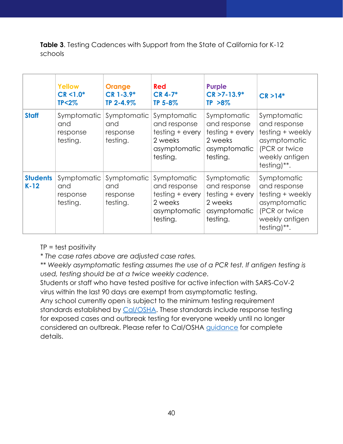**Table 3**. Testing Cadences with Support from the State of California for K-12 schools

|                           | <b>Yellow</b><br>$CR < 1.0*$<br>$TP < 2\%$ | <b>Orange</b><br>$CR$ 1-3.9*<br>TP 2-4.9%  | <b>Red</b><br>$CR$ 4-7*<br>TP 5-8%                                                    | <b>Purple</b><br>$CR > 7 - 13.9*$<br>$TP > 8\%$                                       | $CR > 14*$                                                                                                        |
|---------------------------|--------------------------------------------|--------------------------------------------|---------------------------------------------------------------------------------------|---------------------------------------------------------------------------------------|-------------------------------------------------------------------------------------------------------------------|
| <b>Staff</b>              | Symptomatic<br>and<br>response<br>testing. | Symptomatic<br>and<br>response<br>testing. | Symptomatic<br>and response<br>testing + every<br>2 weeks<br>asymptomatic<br>testing. | Symptomatic<br>and response<br>testing + every<br>2 weeks<br>asymptomatic<br>testing. | Symptomatic<br>and response<br>testing + weekly<br>asymptomatic<br>(PCR or twice<br>weekly antigen<br>testing)**. |
| <b>Students</b><br>$K-12$ | Symptomatic<br>and<br>response<br>testing. | Symptomatic<br>and<br>response<br>testing. | Symptomatic<br>and response<br>testing + every<br>2 weeks<br>asymptomatic<br>testing. | Symptomatic<br>and response<br>testing + every<br>2 weeks<br>asymptomatic<br>testing. | Symptomatic<br>and response<br>testing + weekly<br>asymptomatic<br>(PCR or twice<br>weekly antigen<br>testing)**. |

TP = test positivity

*\* The case rates above are adjusted case rates.* 

*\*\* Weekly asymptomatic testing assumes the use of a PCR test. If antigen testing is used, testing should be at a twice weekly cadence.* 

Students or staff who have tested positive for active infection with SARS-CoV-2 virus within the last 90 days are exempt from asymptomatic testing. Any school currently open is subject to the minimum testing requirement standards established by [Cal/OSHA.](https://www.dir.ca.gov/dosh/coronavirus/COVID19FAQs.html#testing) These standards include response testing for exposed cases and outbreak testing for everyone weekly until no longer considered an outbreak. Please refer to Cal/OSHA [guidance](https://www.dir.ca.gov/dosh/coronavirus/COVID19FAQs.html#testing) for complete details.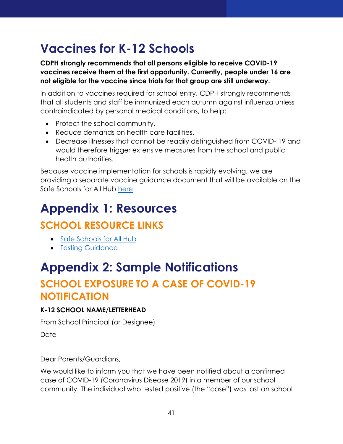# <span id="page-41-0"></span>**Vaccines for K-12 Schools**

**CDPH strongly recommends that all persons eligible to receive COVID-19 vaccines receive them at the first opportunity. Currently, people under 16 are not eligible for the vaccine since trials for that group are still underway.** 

In addition to vaccines required for school entry, CDPH strongly recommends that all students and staff be immunized each autumn against influenza unless contraindicated by personal medical conditions, to help:

- Protect the school community.
- Reduce demands on health care facilities.
- Decrease illnesses that cannot be readily distinguished from COVID- 19 and would therefore trigger extensive measures from the school and public health authorities.

Because vaccine implementation for schools is rapidly evolving, we are providing a separate vaccine guidance document that will be available on the Safe Schools for All Hub [here.](https://covid19.ca.gov/vaccines/)

# <span id="page-41-1"></span>**Appendix 1: Resources**

## <span id="page-41-2"></span>**SCHOOL RESOURCE LINKS**

- [Safe Schools for All Hub](https://schools.covid19.ca.gov/)
- [Testing Guidance](https://www.cdph.ca.gov/Programs/CID/DCDC/CDPH%20Document%20Library/COVID-19/K12_School_Testing_Considerations_Information.pdf)

## <span id="page-41-3"></span>**Appendix 2: Sample Notifications**

## <span id="page-41-4"></span>**SCHOOL EXPOSURE TO A CASE OF COVID-19 NOTIFICATION**

#### **K-12 SCHOOL NAME/LETTERHEAD**

From School Principal (or Designee)

Date

Dear Parents/Guardians,

We would like to inform you that we have been notified about a confirmed case of COVID-19 (Coronavirus Disease 2019) in a member of our school community. The individual who tested positive (the "case") was last on school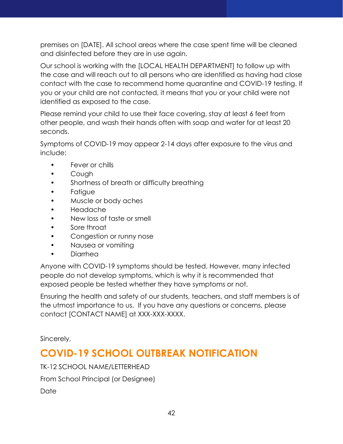premises on [DATE]. All school areas where the case spent time will be cleaned and disinfected before they are in use again.

Our school is working with the [LOCAL HEALTH DEPARTMENT] to follow up with the case and will reach out to all persons who are identified as having had close contact with the case to recommend home quarantine and COVID-19 testing. If you or your child are not contacted, it means that you or your child were not identified as exposed to the case.

Please remind your child to use their face covering, stay at least 6 feet from other people, and wash their hands often with soap and water for at least 20 seconds.

Symptoms of COVID-19 may appear 2-14 days after exposure to the virus and include:

- Fever or chills
- Cough
- Shortness of breath or difficulty breathing
- **Fatiaue**
- Muscle or body aches
- Headache
- New loss of taste or smell
- Sore throat
- Congestion or runny nose
- Nausea or vomiting
- Diarrhea

Anyone with COVID-19 symptoms should be tested. However, many infected people do not develop symptoms, which is why it is recommended that exposed people be tested whether they have symptoms or not.

Ensuring the health and safety of our students, teachers, and staff members is of the utmost importance to us. If you have any questions or concerns, please contact [CONTACT NAME] at XXX-XXX-XXXX.

Sincerely,

## <span id="page-42-0"></span>**COVID-19 SCHOOL OUTBREAK NOTIFICATION**

TK-12 SCHOOL NAME/LETTERHEAD

From School Principal (or Designee)

Date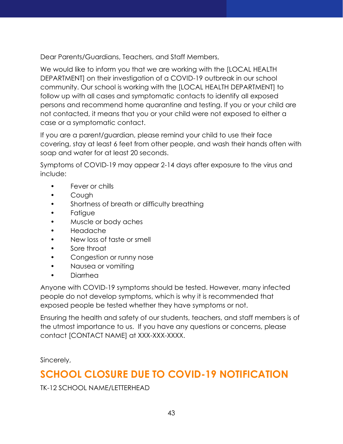Dear Parents/Guardians, Teachers, and Staff Members,

We would like to inform you that we are working with the [LOCAL HEALTH DEPARTMENT] on their investigation of a COVID-19 outbreak in our school community. Our school is working with the [LOCAL HEALTH DEPARTMENT] to follow up with all cases and symptomatic contacts to identify all exposed persons and recommend home quarantine and testing. If you or your child are not contacted, it means that you or your child were not exposed to either a case or a symptomatic contact.

If you are a parent/guardian, please remind your child to use their face covering, stay at least 6 feet from other people, and wash their hands often with soap and water for at least 20 seconds.

Symptoms of COVID-19 may appear 2-14 days after exposure to the virus and include:

- Fever or chills
- Cough
- Shortness of breath or difficulty breathing
- Fatigue
- Muscle or body aches
- Headache
- New loss of taste or smell
- Sore throat
- Congestion or runny nose
- Nausea or vomiting
- Diarrhea

Anyone with COVID-19 symptoms should be tested. However, many infected people do not develop symptoms, which is why it is recommended that exposed people be tested whether they have symptoms or not.

Ensuring the health and safety of our students, teachers, and staff members is of the utmost importance to us. If you have any questions or concerns, please contact [CONTACT NAME] at XXX-XXX-XXXX.

Sincerely,

## <span id="page-43-0"></span>**SCHOOL CLOSURE DUE TO COVID-19 NOTIFICATION**

TK-12 SCHOOL NAME/LETTERHEAD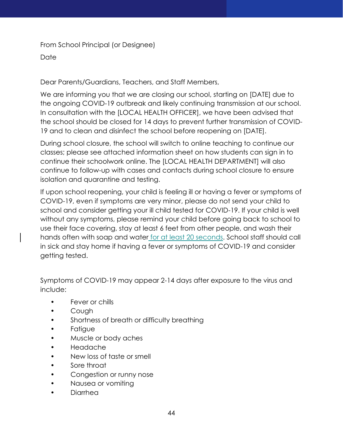From School Principal (or Designee)

**Date** 

Dear Parents/Guardians, Teachers, and Staff Members,

We are informing you that we are closing our school, starting on [DATE] due to the ongoing COVID-19 outbreak and likely continuing transmission at our school. In consultation with the [LOCAL HEALTH OFFICER], we have been advised that the school should be closed for 14 days to prevent further transmission of COVID-19 and to clean and disinfect the school before reopening on [DATE].

During school closure, the school will switch to online teaching to continue our classes; please see attached information sheet on how students can sign in to continue their schoolwork online. The [LOCAL HEALTH DEPARTMENT] will also continue to follow-up with cases and contacts during school closure to ensure isolation and quarantine and testing.

If upon school reopening, your child is feeling ill or having a fever or symptoms of COVID-19, even if symptoms are very minor, please do not send your child to school and consider getting your ill child tested for COVID-19. If your child is well without any symptoms, please remind your child before going back to school to use their face covering, stay at least 6 feet from other people, and wash their hands often with soap and water for at least 20 seconds. School staff should call in sick and stay home if having a fever or symptoms of COVID-19 and consider getting tested.

Symptoms of COVID-19 may appear 2-14 days after exposure to the virus and include:

- Fever or chills
- Cough
- Shortness of breath or difficulty breathing
- Fatigue
- Muscle or body aches
- Headache
- New loss of taste or smell
- Sore throat
- Congestion or runny nose
- Nausea or vomiting
- Diarrhea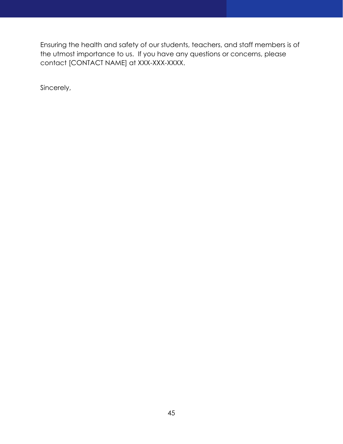Ensuring the health and safety of our students, teachers, and staff members is of the utmost importance to us. If you have any questions or concerns, please contact [CONTACT NAME] at XXX-XXX-XXXX.

Sincerely,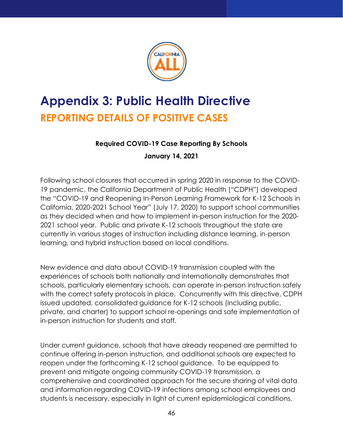

# <span id="page-46-1"></span><span id="page-46-0"></span>**Appendix 3: Public Health Directive REPORTING DETAILS OF POSITIVE CASES**

#### **Required COVID-19 Case Reporting By Schools**

#### **January 14, 2021**

Following school closures that occurred in spring 2020 in response to the COVID-19 pandemic, the California Department of Public Health ("CDPH") developed the "COVID-19 and Reopening In-Person Learning Framework for K-12 Schools in California, 2020-2021 School Year" (July 17, 2020) to support school communities as they decided when and how to implement in-person instruction for the 2020- 2021 school year. Public and private K-12 schools throughout the state are currently in various stages of instruction including distance learning, in-person learning, and hybrid instruction based on local conditions.

New evidence and data about COVID-19 transmission coupled with the experiences of schools both nationally and internationally demonstrates that schools, particularly elementary schools, can operate in-person instruction safely with the correct safety protocols in place. Concurrently with this directive, CDPH issued updated, consolidated guidance for K-12 schools (including public, private, and charter) to support school re-openings and safe implementation of in-person instruction for students and staff.

Under current guidance, schools that have already reopened are permitted to continue offering in-person instruction, and additional schools are expected to reopen under the forthcoming K-12 school guidance. To be equipped to prevent and mitigate ongoing community COVID-19 transmission, a comprehensive and coordinated approach for the secure sharing of vital data and information regarding COVID-19 infections among school employees and students is necessary, especially in light of current epidemiological conditions.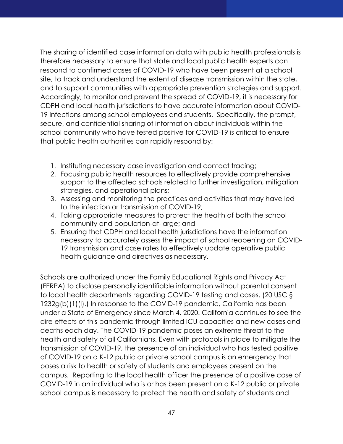The sharing of identified case information data with public health professionals is therefore necessary to ensure that state and local public health experts can respond to confirmed cases of COVID-19 who have been present at a school site, to track and understand the extent of disease transmission within the state, and to support communities with appropriate prevention strategies and support. Accordingly, to monitor and prevent the spread of COVID-19, it is necessary for CDPH and local health jurisdictions to have accurate information about COVID-19 infections among school employees and students. Specifically, the prompt, secure, and confidential sharing of information about individuals within the school community who have tested positive for COVID-19 is critical to ensure that public health authorities can rapidly respond by:

- 1. Instituting necessary case investigation and contact tracing;
- 2. Focusing public health resources to effectively provide comprehensive support to the affected schools related to further investigation, mitigation strategies, and operational plans;
- 3. Assessing and monitoring the practices and activities that may have led to the infection or transmission of COVID-19;
- 4. Taking appropriate measures to protect the health of both the school community and population-at-large; and
- 5. Ensuring that CDPH and local health jurisdictions have the information necessary to accurately assess the impact of school reopening on COVID-19 transmission and case rates to effectively update operative public health guidance and directives as necessary.

Schools are authorized under the Family Educational Rights and Privacy Act (FERPA) to disclose personally identifiable information without parental consent to local health departments regarding COVID-19 testing and cases. (20 USC § 1232g(b)(1)(I).) In response to the COVID-19 pandemic, California has been under a State of Emergency since March 4, 2020. California continues to see the dire effects of this pandemic through limited ICU capacities and new cases and deaths each day. The COVID-19 pandemic poses an extreme threat to the health and safety of all Californians. Even with protocols in place to mitigate the transmission of COVID-19, the presence of an individual who has tested positive of COVID-19 on a K-12 public or private school campus is an emergency that poses a risk to health or safety of students and employees present on the campus. Reporting to the local health officer the presence of a positive case of COVID-19 in an individual who is or has been present on a K-12 public or private school campus is necessary to protect the health and safety of students and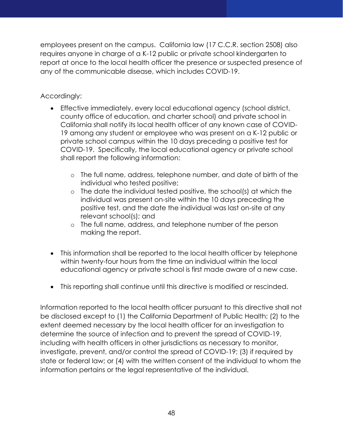employees present on the campus. California law (17 C.C.R. section 2508) also requires anyone in charge of a K-12 public or private school kindergarten to report at once to the local health officer the presence or suspected presence of any of the communicable disease, which includes COVID-19.

#### Accordingly:

- Effective immediately, every local educational agency (school district, county office of education, and charter school) and private school in California shall notify its local health officer of any known case of COVID-19 among any student or employee who was present on a K-12 public or private school campus within the 10 days preceding a positive test for COVID-19. Specifically, the local educational agency or private school shall report the following information:
	- o The full name, address, telephone number, and date of birth of the individual who tested positive;
	- o The date the individual tested positive, the school(s) at which the individual was present on-site within the 10 days preceding the positive test, and the date the individual was last on-site at any relevant school(s); and
	- o The full name, address, and telephone number of the person making the report.
- This information shall be reported to the local health officer by telephone within twenty-four hours from the time an individual within the local educational agency or private school is first made aware of a new case.
- This reporting shall continue until this directive is modified or rescinded.

Information reported to the local health officer pursuant to this directive shall not be disclosed except to (1) the California Department of Public Health; (2) to the extent deemed necessary by the local health officer for an investigation to determine the source of infection and to prevent the spread of COVID-19, including with health officers in other jurisdictions as necessary to monitor, investigate, prevent, and/or control the spread of COVID-19; (3) if required by state or federal law; or (4) with the written consent of the individual to whom the information pertains or the legal representative of the individual.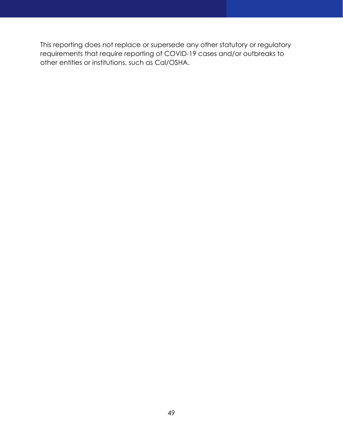This reporting does not replace or supersede any other statutory or regulatory requirements that require reporting of COVID-19 cases and/or outbreaks to other entities or institutions, such as Cal/OSHA.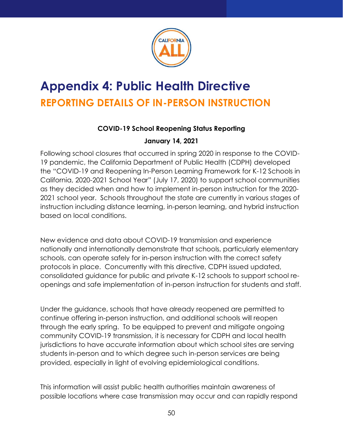

# <span id="page-50-1"></span><span id="page-50-0"></span>**Appendix 4: Public Health Directive REPORTING DETAILS OF IN-PERSON INSTRUCTION**

#### **COVID-19 School Reopening Status Reporting**

#### **January 14, 2021**

Following school closures that occurred in spring 2020 in response to the COVID-19 pandemic, the California Department of Public Health (CDPH) developed the "COVID-19 and Reopening In-Person Learning Framework for K-12 Schools in California, 2020-2021 School Year" (July 17, 2020) to support school communities as they decided when and how to implement in-person instruction for the 2020- 2021 school year. Schools throughout the state are currently in various stages of instruction including distance learning, in-person learning, and hybrid instruction based on local conditions.

New evidence and data about COVID-19 transmission and experience nationally and internationally demonstrate that schools, particularly elementary schools, can operate safely for in-person instruction with the correct safety protocols in place. Concurrently with this directive, CDPH issued updated, consolidated guidance for public and private K-12 schools to support school reopenings and safe implementation of in-person instruction for students and staff.

Under the guidance, schools that have already reopened are permitted to continue offering in-person instruction, and additional schools will reopen through the early spring. To be equipped to prevent and mitigate ongoing community COVID-19 transmission, it is necessary for CDPH and local health jurisdictions to have accurate information about which school sites are serving students in-person and to which degree such in-person services are being provided, especially in light of evolving epidemiological conditions.

This information will assist public health authorities maintain awareness of possible locations where case transmission may occur and can rapidly respond